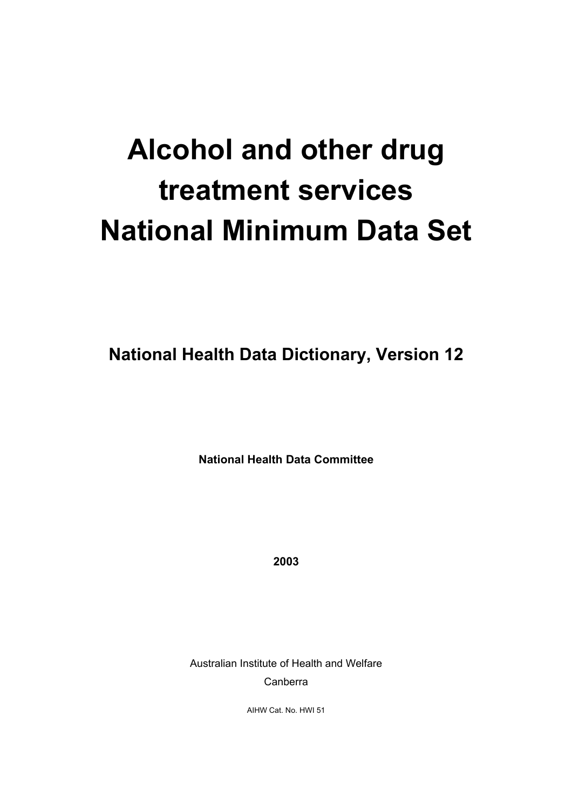# **Alcohol and other drug treatment services National Minimum Data Set**

**National Health Data Dictionary, Version 12**

**National Health Data Committee**

**2003**

Australian Institute of Health and Welfare Canberra

AIHW Cat. No. HWI 51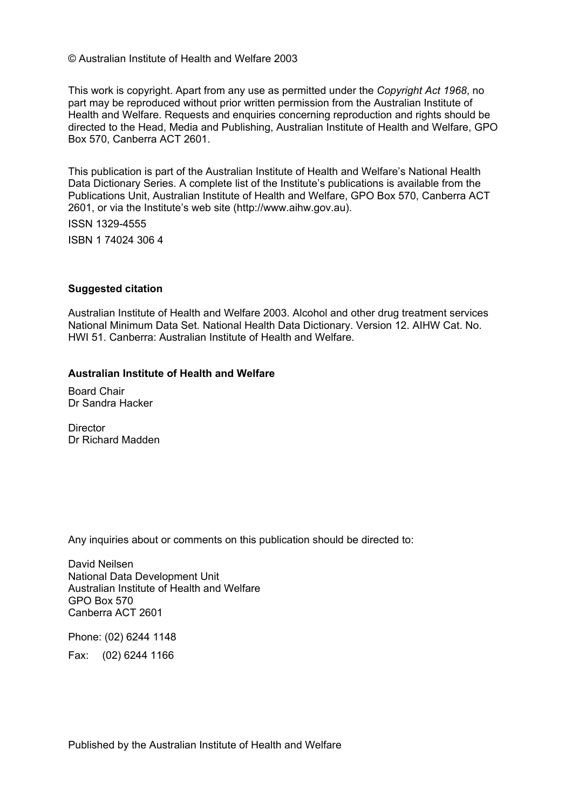© Australian Institute of Health and Welfare 2003

This work is copyright. Apart from any use as permitted under the *Copyright Act 1968*, no part may be reproduced without prior written permission from the Australian Institute of Health and Welfare. Requests and enquiries concerning reproduction and rights should be directed to the Head, Media and Publishing, Australian Institute of Health and Welfare, GPO Box 570, Canberra ACT 2601.

This publication is part of the Australian Institute of Health and Welfare's National Health Data Dictionary Series. A complete list of the Institute's publications is available from the Publications Unit, Australian Institute of Health and Welfare, GPO Box 570, Canberra ACT 2601, or via the Institute's web site (http://www.aihw.gov.au).

ISSN 1329-4555

ISBN 1 74024 306 4

#### **Suggested citation**

Australian Institute of Health and Welfare 2003. Alcohol and other drug treatment services National Minimum Data Set. National Health Data Dictionary. Version 12. AIHW Cat. No. HWI 51. Canberra: Australian Institute of Health and Welfare.

#### **Australian Institute of Health and Welfare**

Board Chair Dr Sandra Hacker

**Director** Dr Richard Madden

Any inquiries about or comments on this publication should be directed to:

David Neilsen National Data Development Unit Australian Institute of Health and Welfare GPO Box 570 Canberra ACT 2601

Phone: (02) 6244 1148 Fax: (02) 6244 1166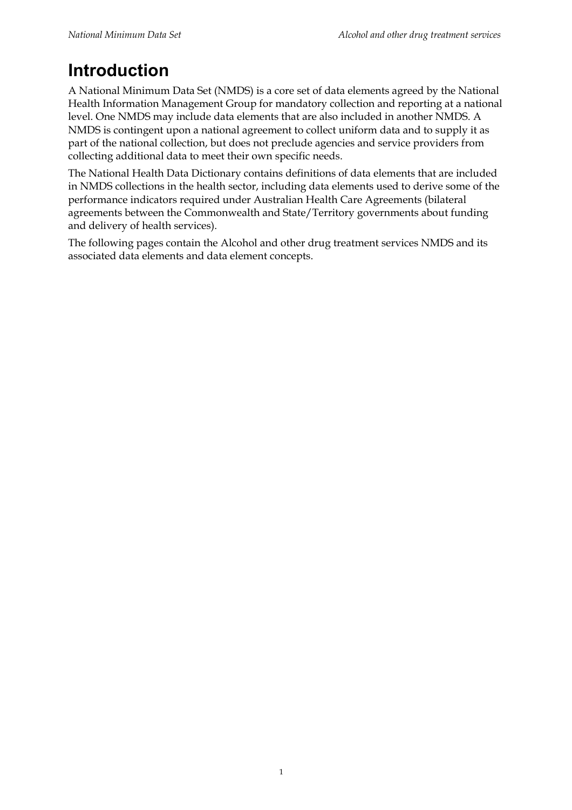## **Introduction**

A National Minimum Data Set (NMDS) is a core set of data elements agreed by the National Health Information Management Group for mandatory collection and reporting at a national level. One NMDS may include data elements that are also included in another NMDS. A NMDS is contingent upon a national agreement to collect uniform data and to supply it as part of the national collection, but does not preclude agencies and service providers from collecting additional data to meet their own specific needs.

The National Health Data Dictionary contains definitions of data elements that are included in NMDS collections in the health sector, including data elements used to derive some of the performance indicators required under Australian Health Care Agreements (bilateral agreements between the Commonwealth and State/Territory governments about funding and delivery of health services).

The following pages contain the Alcohol and other drug treatment services NMDS and its associated data elements and data element concepts.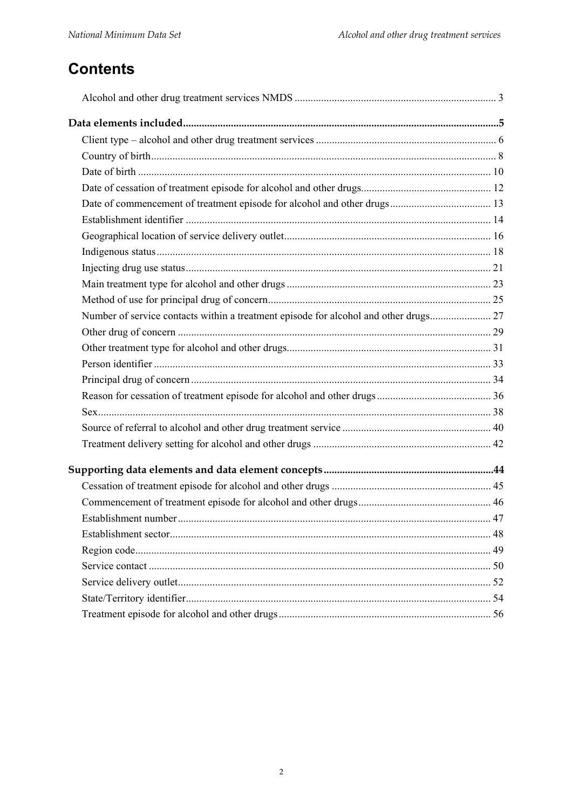## **Contents**

| Number of service contacts within a treatment episode for alcohol and other drugs 27 |  |
|--------------------------------------------------------------------------------------|--|
|                                                                                      |  |
|                                                                                      |  |
|                                                                                      |  |
|                                                                                      |  |
|                                                                                      |  |
|                                                                                      |  |
|                                                                                      |  |
|                                                                                      |  |
|                                                                                      |  |
|                                                                                      |  |
|                                                                                      |  |
|                                                                                      |  |
|                                                                                      |  |
|                                                                                      |  |
|                                                                                      |  |
|                                                                                      |  |
|                                                                                      |  |
|                                                                                      |  |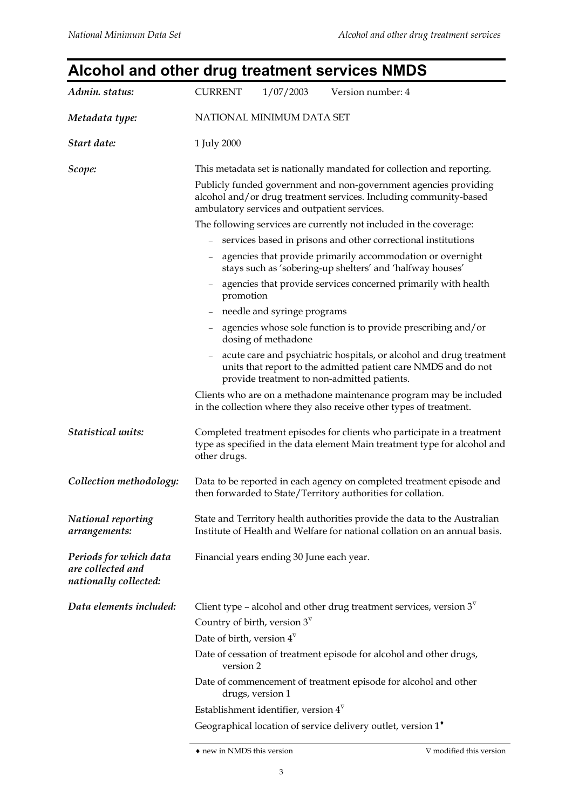#### **Alcohol and other drug treatment services NMDS** *Admin. status:* CURRENT  $1/07/2003$  Version number: 4 *Metadata type:* NATIONAL MINIMUM DATA SET **Start date:** 1 July 2000 *Scope:* This metadata set is nationally mandated for collection and reporting. Publicly funded government and non-government agencies providing alcohol and/or drug treatment services. Including community-based ambulatory services and outpatient services. The following services are currently not included in the coverage: services based in prisons and other correctional institutions agencies that provide primarily accommodation or overnight stays such as 'sobering-up shelters' and 'halfway houses' agencies that provide services concerned primarily with health promotion needle and syringe programs agencies whose sole function is to provide prescribing and/or dosing of methadone acute care and psychiatric hospitals, or alcohol and drug treatment units that report to the admitted patient care NMDS and do not provide treatment to non-admitted patients. Clients who are on a methadone maintenance program may be included in the collection where they also receive other types of treatment. *Statistical units:* Completed treatment episodes for clients who participate in a treatment type as specified in the data element Main treatment type for alcohol and other drugs. *Collection methodology:* Data to be reported in each agency on completed treatment episode and then forwarded to State/Territory authorities for collation. *National reporting arrangements:* State and Territory health authorities provide the data to the Australian Institute of Health and Welfare for national collation on an annual basis. *Periods for which data are collected and nationally collected:* Financial years ending 30 June each year. *Data elements included:* Client type – alcohol and other drug treatment services, version  $3^{\nabla}$ Country of birth, version  $3^{\nabla}$ Date of birth, version  $4^{\nabla}$ Date of cessation of treatment episode for alcohol and other drugs, version 2 Date of commencement of treatment episode for alcohol and other drugs, version 1 Establishment identifier, version  $4^{\nabla}$ Geographical location of service delivery outlet, version  $1^*$

#### $\bullet$ new in NMDS this version  $\hfill \nabla$  modified this version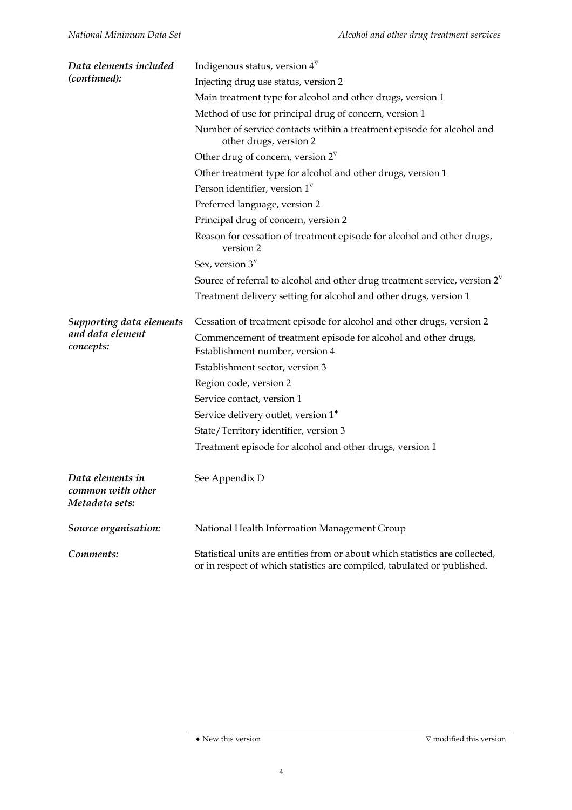| Data elements included                                  | Indigenous status, version $4^{\nabla}$                                                                                                                 |  |  |
|---------------------------------------------------------|---------------------------------------------------------------------------------------------------------------------------------------------------------|--|--|
| (continued):                                            | Injecting drug use status, version 2                                                                                                                    |  |  |
|                                                         | Main treatment type for alcohol and other drugs, version 1                                                                                              |  |  |
|                                                         | Method of use for principal drug of concern, version 1                                                                                                  |  |  |
|                                                         | Number of service contacts within a treatment episode for alcohol and<br>other drugs, version 2                                                         |  |  |
|                                                         | Other drug of concern, version $2^{\nabla}$                                                                                                             |  |  |
|                                                         | Other treatment type for alcohol and other drugs, version 1                                                                                             |  |  |
|                                                         | Person identifier, version $1^{\nabla}$                                                                                                                 |  |  |
|                                                         | Preferred language, version 2                                                                                                                           |  |  |
|                                                         | Principal drug of concern, version 2                                                                                                                    |  |  |
|                                                         | Reason for cessation of treatment episode for alcohol and other drugs,<br>version 2                                                                     |  |  |
|                                                         | Sex, version $3^{\nabla}$                                                                                                                               |  |  |
|                                                         | Source of referral to alcohol and other drug treatment service, version $2^{\nabla}$                                                                    |  |  |
|                                                         | Treatment delivery setting for alcohol and other drugs, version 1                                                                                       |  |  |
| Supporting data elements                                | Cessation of treatment episode for alcohol and other drugs, version 2                                                                                   |  |  |
| and data element<br>concepts:                           | Commencement of treatment episode for alcohol and other drugs,<br>Establishment number, version 4                                                       |  |  |
|                                                         | Establishment sector, version 3                                                                                                                         |  |  |
|                                                         | Region code, version 2                                                                                                                                  |  |  |
|                                                         | Service contact, version 1                                                                                                                              |  |  |
|                                                         | Service delivery outlet, version 1 <sup>*</sup>                                                                                                         |  |  |
|                                                         | State/Territory identifier, version 3                                                                                                                   |  |  |
|                                                         | Treatment episode for alcohol and other drugs, version 1                                                                                                |  |  |
| Data elements in<br>common with other<br>Metadata sets: | See Appendix D                                                                                                                                          |  |  |
| Source organisation:                                    | National Health Information Management Group                                                                                                            |  |  |
| Comments:                                               | Statistical units are entities from or about which statistics are collected,<br>or in respect of which statistics are compiled, tabulated or published. |  |  |

 $\blacklozenge$  New this version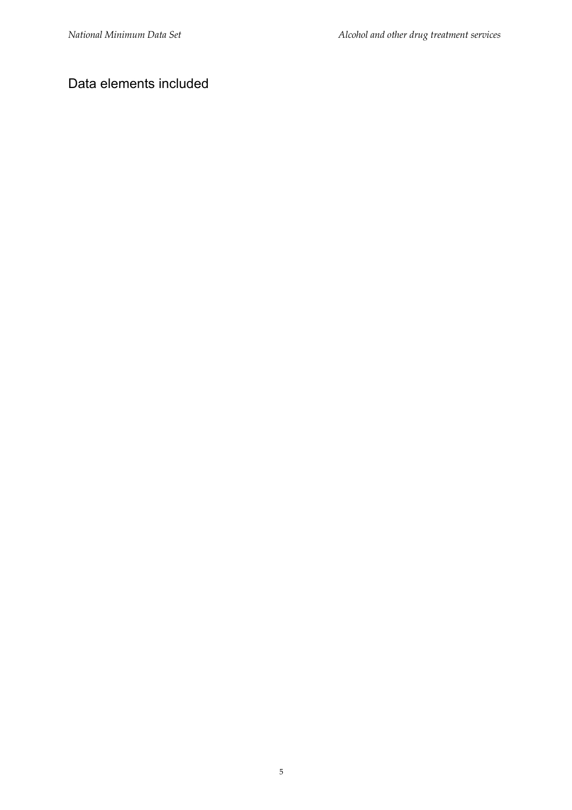## Data elements included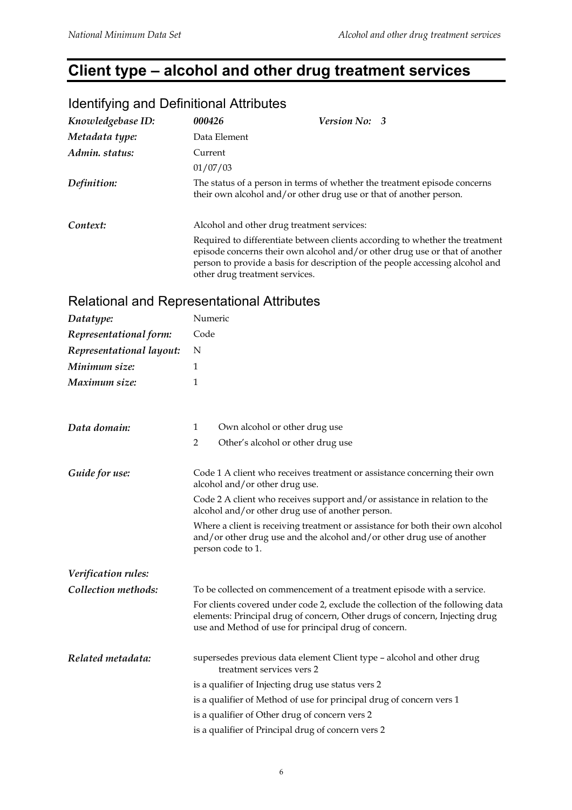## **Client type – alcohol and other drug treatment services**

| Knowledgebase ID: | 000426                         | <b>Version No: 3</b>                                                                                                                                                                                                                         |
|-------------------|--------------------------------|----------------------------------------------------------------------------------------------------------------------------------------------------------------------------------------------------------------------------------------------|
| Metadata type:    | Data Element                   |                                                                                                                                                                                                                                              |
| Admin. status:    | Current<br>01/07/03            |                                                                                                                                                                                                                                              |
| Definition:       |                                | The status of a person in terms of whether the treatment episode concerns<br>their own alcohol and/or other drug use or that of another person.                                                                                              |
| Context:          |                                | Alcohol and other drug treatment services:                                                                                                                                                                                                   |
|                   | other drug treatment services. | Required to differentiate between clients according to whether the treatment<br>episode concerns their own alcohol and/or other drug use or that of another<br>person to provide a basis for description of the people accessing alcohol and |

#### Identifying and Definitional Attributes

#### Relational and Representational Attributes

| Datatype:                | Numeric                                                                                                                                                                                                               |  |
|--------------------------|-----------------------------------------------------------------------------------------------------------------------------------------------------------------------------------------------------------------------|--|
| Representational form:   | Code                                                                                                                                                                                                                  |  |
| Representational layout: | N                                                                                                                                                                                                                     |  |
| Minimum size:            | 1                                                                                                                                                                                                                     |  |
| Maximum size:            | 1                                                                                                                                                                                                                     |  |
|                          |                                                                                                                                                                                                                       |  |
| Data domain:             | Own alcohol or other drug use<br>1                                                                                                                                                                                    |  |
|                          | $\overline{2}$<br>Other's alcohol or other drug use                                                                                                                                                                   |  |
| Guide for use:           | Code 1 A client who receives treatment or assistance concerning their own<br>alcohol and/or other drug use.                                                                                                           |  |
|                          | Code 2 A client who receives support and/or assistance in relation to the<br>alcohol and/or other drug use of another person.                                                                                         |  |
|                          | Where a client is receiving treatment or assistance for both their own alcohol<br>and/or other drug use and the alcohol and/or other drug use of another<br>person code to 1.                                         |  |
| Verification rules:      |                                                                                                                                                                                                                       |  |
| Collection methods:      | To be collected on commencement of a treatment episode with a service.                                                                                                                                                |  |
|                          | For clients covered under code 2, exclude the collection of the following data<br>elements: Principal drug of concern, Other drugs of concern, Injecting drug<br>use and Method of use for principal drug of concern. |  |
| Related metadata:        | supersedes previous data element Client type - alcohol and other drug<br>treatment services vers 2                                                                                                                    |  |
|                          | is a qualifier of Injecting drug use status vers 2                                                                                                                                                                    |  |
|                          | is a qualifier of Method of use for principal drug of concern vers 1                                                                                                                                                  |  |
|                          | is a qualifier of Other drug of concern vers 2                                                                                                                                                                        |  |
|                          | is a qualifier of Principal drug of concern vers 2                                                                                                                                                                    |  |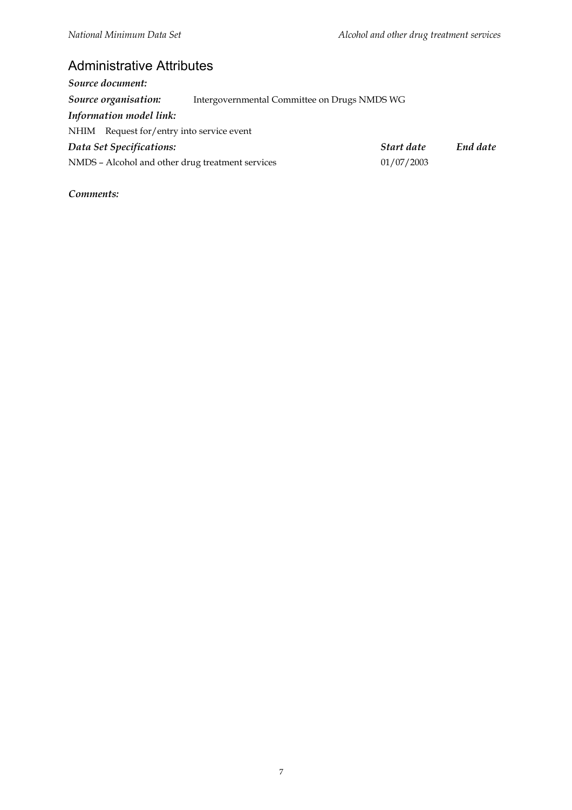## Administrative Attributes

| Source document:                                 |                                              |            |          |
|--------------------------------------------------|----------------------------------------------|------------|----------|
| Source organisation:                             | Intergovernmental Committee on Drugs NMDS WG |            |          |
| Information model link:                          |                                              |            |          |
| NHIM Request for/entry into service event        |                                              |            |          |
| Data Set Specifications:                         |                                              | Start date | End date |
| NMDS - Alcohol and other drug treatment services |                                              | 01/07/2003 |          |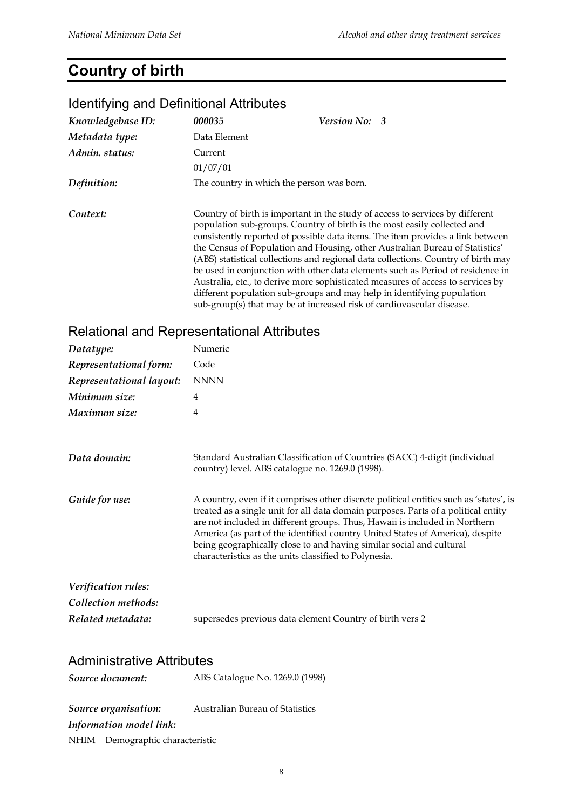## **Country of birth**

#### *Knowledgebase ID: 000035 Version No: 3 Metadata type:* Data Element *Admin. status:* Current 01/07/01 *Definition:* The country in which the person was born. **Context:** Country of birth is important in the study of access to services by different population sub-groups. Country of birth is the most easily collected and consistently reported of possible data items. The item provides a link between the Census of Population and Housing, other Australian Bureau of Statistics' (ABS) statistical collections and regional data collections. Country of birth may be used in conjunction with other data elements such as Period of residence in Australia, etc., to derive more sophisticated measures of access to services by different population sub-groups and may help in identifying population sub-group(s) that may be at increased risk of cardiovascular disease.

#### Identifying and Definitional Attributes

#### Relational and Representational Attributes

| Datatype:                        | Numeric                                                                                                                                                                                                                                                                                                                                                                                                                                                                      |
|----------------------------------|------------------------------------------------------------------------------------------------------------------------------------------------------------------------------------------------------------------------------------------------------------------------------------------------------------------------------------------------------------------------------------------------------------------------------------------------------------------------------|
| Representational form:           | Code                                                                                                                                                                                                                                                                                                                                                                                                                                                                         |
| Representational layout:         | <b>NNNN</b>                                                                                                                                                                                                                                                                                                                                                                                                                                                                  |
| Minimum size:                    | 4                                                                                                                                                                                                                                                                                                                                                                                                                                                                            |
| Maximum size:                    | $\overline{4}$                                                                                                                                                                                                                                                                                                                                                                                                                                                               |
|                                  |                                                                                                                                                                                                                                                                                                                                                                                                                                                                              |
| Data domain:                     | Standard Australian Classification of Countries (SACC) 4-digit (individual<br>country) level. ABS catalogue no. 1269.0 (1998).                                                                                                                                                                                                                                                                                                                                               |
| Guide for use:                   | A country, even if it comprises other discrete political entities such as 'states', is<br>treated as a single unit for all data domain purposes. Parts of a political entity<br>are not included in different groups. Thus, Hawaii is included in Northern<br>America (as part of the identified country United States of America), despite<br>being geographically close to and having similar social and cultural<br>characteristics as the units classified to Polynesia. |
| Verification rules:              |                                                                                                                                                                                                                                                                                                                                                                                                                                                                              |
| Collection methods:              |                                                                                                                                                                                                                                                                                                                                                                                                                                                                              |
| Related metadata:                | supersedes previous data element Country of birth vers 2                                                                                                                                                                                                                                                                                                                                                                                                                     |
|                                  |                                                                                                                                                                                                                                                                                                                                                                                                                                                                              |
| <b>Administrative Attributes</b> |                                                                                                                                                                                                                                                                                                                                                                                                                                                                              |
| Source document:                 | ABS Catalogue No. 1269.0 (1998)                                                                                                                                                                                                                                                                                                                                                                                                                                              |
| Source organisation:             | Australian Bureau of Statistics                                                                                                                                                                                                                                                                                                                                                                                                                                              |

*Source organisation:* Australian Bureau of Statistics *Information model link:* NHIM Demographic characteristic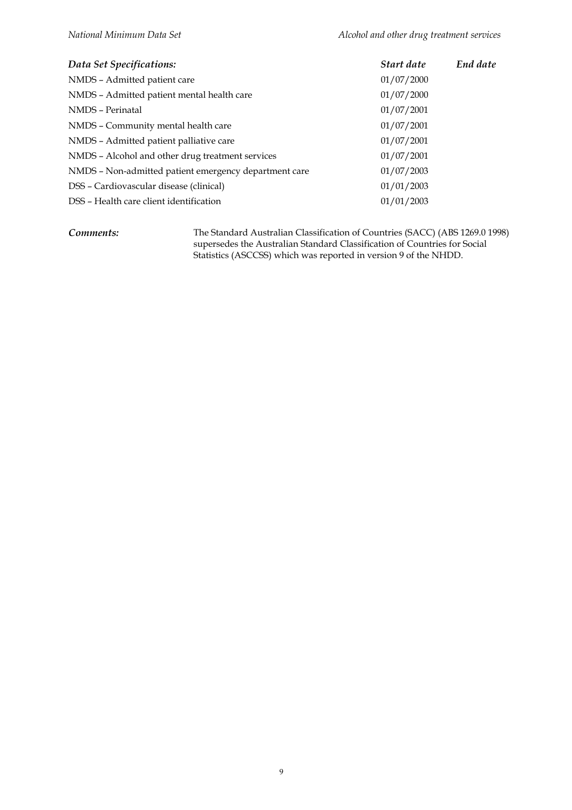| Data Set Specifications:                              | Start date | End date |
|-------------------------------------------------------|------------|----------|
| NMDS - Admitted patient care                          | 01/07/2000 |          |
| NMDS - Admitted patient mental health care            | 01/07/2000 |          |
| NMDS - Perinatal                                      | 01/07/2001 |          |
| NMDS - Community mental health care                   | 01/07/2001 |          |
| NMDS - Admitted patient palliative care               | 01/07/2001 |          |
| NMDS – Alcohol and other drug treatment services      | 01/07/2001 |          |
| NMDS - Non-admitted patient emergency department care | 01/07/2003 |          |
| DSS – Cardiovascular disease (clinical)               | 01/01/2003 |          |
| DSS - Health care client identification               | 01/01/2003 |          |

*Comments:* The Standard Australian Classification of Countries (SACC) (ABS 1269.0 1998) supersedes the Australian Standard Classification of Countries for Social Statistics (ASCCSS) which was reported in version 9 of the NHDD.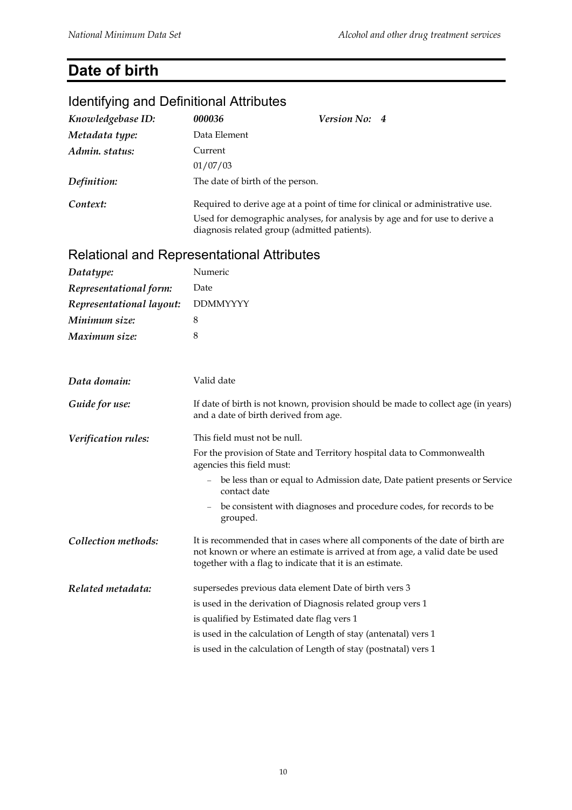## **Date of birth**

#### Identifying and Definitional Attributes *Knowledgebase ID: 000036 Version No: 4 Metadata type:* Data Element *Admin. status:* Current 01/07/03 *Definition:* The date of birth of the person. **Context:** Required to derive age at a point of time for clinical or administrative use. Used for demographic analyses, for analysis by age and for use to derive a diagnosis related group (admitted patients). Relational and Representational Attributes *Datatype:* Numeric *Representational form:* Date *Representational layout:* DDMMYYYY *Minimum size:* 8 *Maximum size:* 8 *Data domain:* Valid date *Guide for use:* If date of birth is not known, provision should be made to collect age (in years) and a date of birth derived from age. *Verification rules:* This field must not be null. For the provision of State and Territory hospital data to Commonwealth agencies this field must: be less than or equal to Admission date, Date patient presents or Service contact date be consistent with diagnoses and procedure codes, for records to be grouped. *Collection methods:* It is recommended that in cases where all components of the date of birth are not known or where an estimate is arrived at from age, a valid date be used together with a flag to indicate that it is an estimate. *Related metadata:* supersedes previous data element Date of birth vers 3 is used in the derivation of Diagnosis related group vers 1 is qualified by Estimated date flag vers 1 is used in the calculation of Length of stay (antenatal) vers 1 is used in the calculation of Length of stay (postnatal) vers 1

#### 10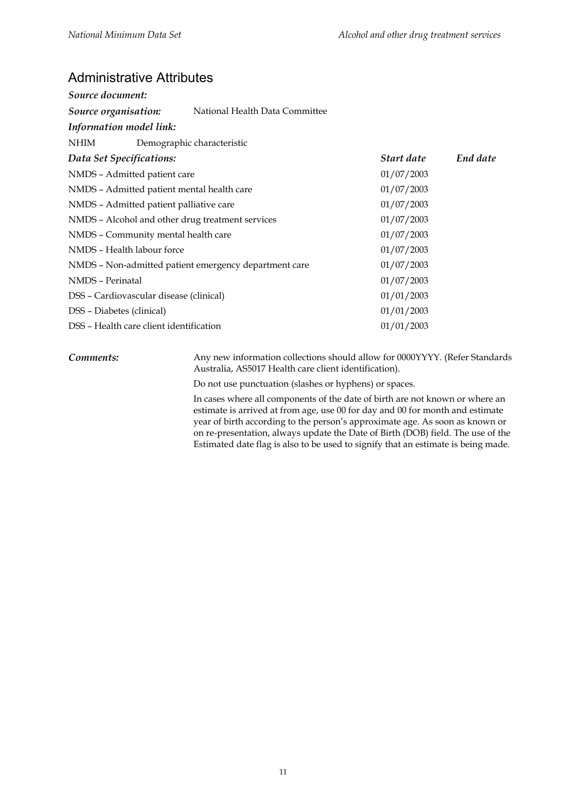#### Administrative Attributes

| Source document:                                      |                                |            |          |
|-------------------------------------------------------|--------------------------------|------------|----------|
| Source organisation:                                  | National Health Data Committee |            |          |
| Information model link:                               |                                |            |          |
| NHIM                                                  | Demographic characteristic     |            |          |
| Data Set Specifications:                              |                                | Start date | End date |
| NMDS - Admitted patient care                          |                                | 01/07/2003 |          |
| NMDS - Admitted patient mental health care            |                                | 01/07/2003 |          |
| NMDS - Admitted patient palliative care               |                                | 01/07/2003 |          |
| NMDS - Alcohol and other drug treatment services      |                                | 01/07/2003 |          |
| 01/07/2003<br>NMDS - Community mental health care     |                                |            |          |
| NMDS - Health labour force                            |                                | 01/07/2003 |          |
| NMDS - Non-admitted patient emergency department care |                                | 01/07/2003 |          |
| NMDS - Perinatal                                      |                                | 01/07/2003 |          |
| DSS - Cardiovascular disease (clinical)               |                                | 01/01/2003 |          |
| DSS - Diabetes (clinical)                             |                                | 01/01/2003 |          |
| DSS - Health care client identification               |                                | 01/01/2003 |          |

**Comments:** Any new information collections should allow for 0000YYYY. (Refer Standards Australia, AS5017 Health care client identification).

Do not use punctuation (slashes or hyphens) or spaces.

In cases where all components of the date of birth are not known or where an estimate is arrived at from age, use 00 for day and 00 for month and estimate year of birth according to the person's approximate age. As soon as known or on re-presentation, always update the Date of Birth (DOB) field. The use of the Estimated date flag is also to be used to signify that an estimate is being made.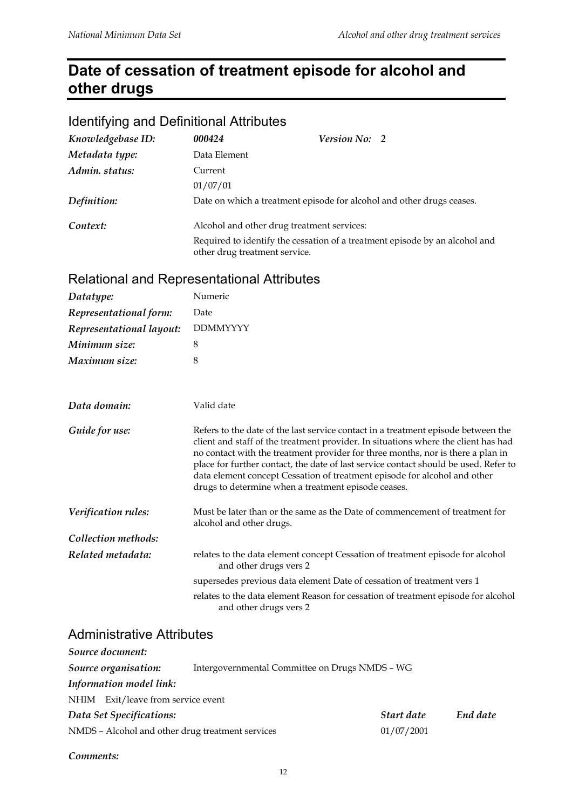## **Date of cessation of treatment episode for alcohol and other drugs**

#### Identifying and Definitional Attributes

| Knowledgebase ID: | 000424                                     | <b>Version No: 2</b>                                                  |                                                                             |
|-------------------|--------------------------------------------|-----------------------------------------------------------------------|-----------------------------------------------------------------------------|
| Metadata type:    | Data Element                               |                                                                       |                                                                             |
| Admin. status:    | Current                                    |                                                                       |                                                                             |
|                   | 01/07/01                                   |                                                                       |                                                                             |
| Definition:       |                                            | Date on which a treatment episode for alcohol and other drugs ceases. |                                                                             |
| Context:          | Alcohol and other drug treatment services: |                                                                       |                                                                             |
|                   | other drug treatment service.              |                                                                       | Required to identify the cessation of a treatment episode by an alcohol and |

#### Relational and Representational Attributes

| Datatype:                | Numeric                                                                                                                                                                                                                                                                                                                                                                                                                                                                                |  |
|--------------------------|----------------------------------------------------------------------------------------------------------------------------------------------------------------------------------------------------------------------------------------------------------------------------------------------------------------------------------------------------------------------------------------------------------------------------------------------------------------------------------------|--|
| Representational form:   | Date                                                                                                                                                                                                                                                                                                                                                                                                                                                                                   |  |
| Representational layout: | <b>DDMMYYYY</b>                                                                                                                                                                                                                                                                                                                                                                                                                                                                        |  |
| Minimum size:            | 8                                                                                                                                                                                                                                                                                                                                                                                                                                                                                      |  |
| Maximum size:            | 8                                                                                                                                                                                                                                                                                                                                                                                                                                                                                      |  |
| Data domain:             | Valid date                                                                                                                                                                                                                                                                                                                                                                                                                                                                             |  |
| Guide for use:           | Refers to the date of the last service contact in a treatment episode between the<br>client and staff of the treatment provider. In situations where the client has had<br>no contact with the treatment provider for three months, nor is there a plan in<br>place for further contact, the date of last service contact should be used. Refer to<br>data element concept Cessation of treatment episode for alcohol and other<br>drugs to determine when a treatment episode ceases. |  |
| Verification rules:      | Must be later than or the same as the Date of commencement of treatment for<br>alcohol and other drugs.                                                                                                                                                                                                                                                                                                                                                                                |  |
| Collection methods:      |                                                                                                                                                                                                                                                                                                                                                                                                                                                                                        |  |
| Related metadata:        | relates to the data element concept Cessation of treatment episode for alcohol<br>and other drugs vers 2                                                                                                                                                                                                                                                                                                                                                                               |  |
|                          | supersedes previous data element Date of cessation of treatment vers 1                                                                                                                                                                                                                                                                                                                                                                                                                 |  |
|                          | relates to the data element Reason for cessation of treatment episode for alcohol<br>and other drugs vers 2                                                                                                                                                                                                                                                                                                                                                                            |  |

#### Administrative Attributes

| Source document:                                                       |                        |
|------------------------------------------------------------------------|------------------------|
| Source organisation:<br>Intergovernmental Committee on Drugs NMDS - WG |                        |
| Information model link:                                                |                        |
| NHIM Exit/leave from service event                                     |                        |
| Data Set Specifications:                                               | End date<br>Start date |
| NMDS - Alcohol and other drug treatment services                       | 01/07/2001             |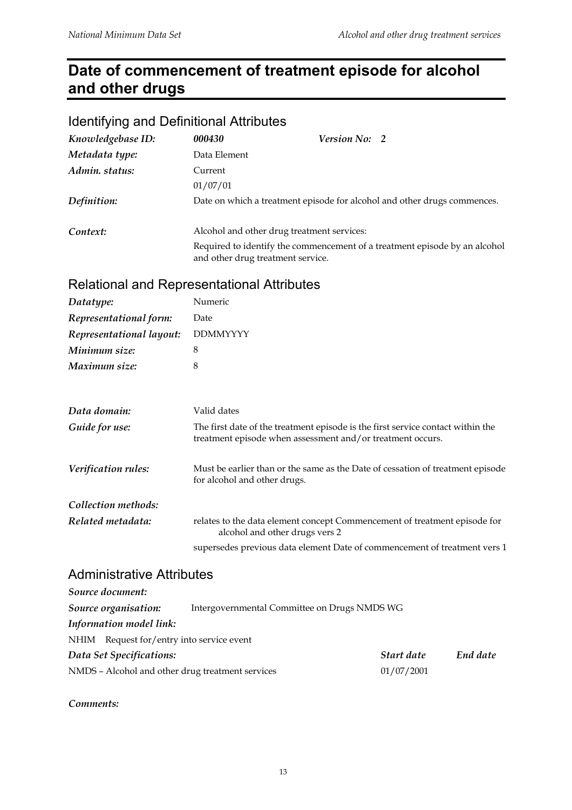## **Date of commencement of treatment episode for alcohol and other drugs**

#### Identifying and Definitional Attributes

| Knowledgebase ID: | 000430                            | <i>Version No:</i> 2                                                       |
|-------------------|-----------------------------------|----------------------------------------------------------------------------|
| Metadata type:    | Data Element                      |                                                                            |
| Admin. status:    | Current                           |                                                                            |
|                   | 01/07/01                          |                                                                            |
| Definition:       |                                   | Date on which a treatment episode for alcohol and other drugs commences.   |
| Context:          |                                   | Alcohol and other drug treatment services:                                 |
|                   | and other drug treatment service. | Required to identify the commencement of a treatment episode by an alcohol |

#### Relational and Representational Attributes

| Datatype:                | Numeric         |
|--------------------------|-----------------|
| Representational form:   | Date            |
| Representational layout: | <b>DDMMYYYY</b> |
| Minimum size:            | 8               |
| Maximum size:            | 8               |
|                          |                 |
|                          |                 |
| - - -                    |                 |

| Data domain:        | Valid dates                                                                                                                                   |
|---------------------|-----------------------------------------------------------------------------------------------------------------------------------------------|
| Guide for use:      | The first date of the treatment episode is the first service contact within the<br>treatment episode when assessment and/or treatment occurs. |
| Verification rules: | Must be earlier than or the same as the Date of cessation of treatment episode<br>for alcohol and other drugs.                                |
| Collection methods: |                                                                                                                                               |
| Related metadata:   | relates to the data element concept Commencement of treatment episode for<br>alcohol and other drugs vers 2                                   |
|                     | supersedes previous data element Date of commencement of treatment vers 1                                                                     |

#### Administrative Attributes

| Source document:                                 |                                              |            |          |
|--------------------------------------------------|----------------------------------------------|------------|----------|
| Source organisation:                             | Intergovernmental Committee on Drugs NMDS WG |            |          |
| Information model link:                          |                                              |            |          |
| NHIM Request for/entry into service event        |                                              |            |          |
| Data Set Specifications:                         |                                              | Start date | End date |
| NMDS - Alcohol and other drug treatment services |                                              | 01/07/2001 |          |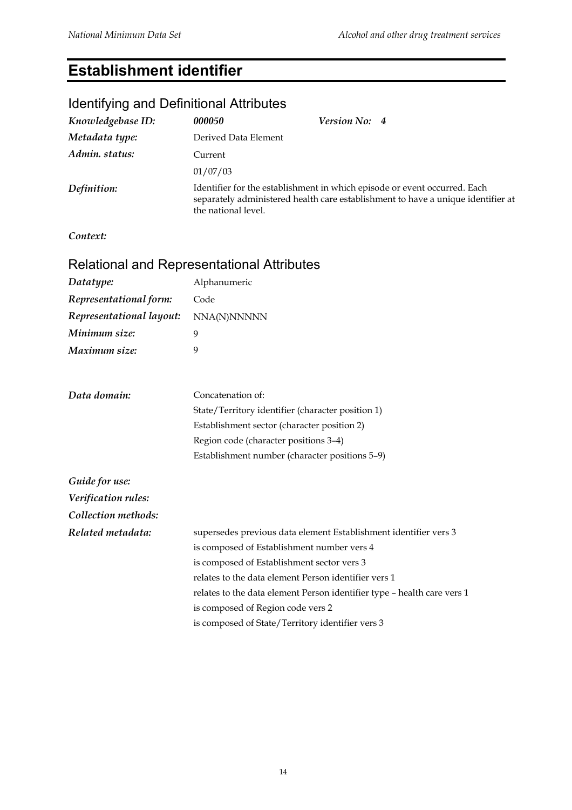## **Establishment identifier**

| <b>Rendiving and Definitional Attributes</b> |                                                                                                                                                                                      |  |  |  |
|----------------------------------------------|--------------------------------------------------------------------------------------------------------------------------------------------------------------------------------------|--|--|--|
| Knowledgebase ID:                            | Version No: 4<br>000050                                                                                                                                                              |  |  |  |
| Metadata type:                               | Derived Data Element                                                                                                                                                                 |  |  |  |
| Admin. status:                               | Current                                                                                                                                                                              |  |  |  |
|                                              | 01/07/03                                                                                                                                                                             |  |  |  |
| Definition:                                  | Identifier for the establishment in which episode or event occurred. Each<br>separately administered health care establishment to have a unique identifier at<br>the national level. |  |  |  |
| Context:                                     |                                                                                                                                                                                      |  |  |  |
|                                              | Relational and Representational Attributes                                                                                                                                           |  |  |  |
| Datatype:                                    | Alphanumeric                                                                                                                                                                         |  |  |  |
| Representational form:                       | Code                                                                                                                                                                                 |  |  |  |
| Representational layout:                     | NNA(N)NNNNN                                                                                                                                                                          |  |  |  |
| Minimum size:                                | 9                                                                                                                                                                                    |  |  |  |
| Maximum size:                                | 9                                                                                                                                                                                    |  |  |  |
| Data domain:                                 | Concatenation of:                                                                                                                                                                    |  |  |  |
|                                              | State/Territory identifier (character position 1)                                                                                                                                    |  |  |  |
|                                              | Establishment sector (character position 2)                                                                                                                                          |  |  |  |
|                                              | Region code (character positions 3-4)                                                                                                                                                |  |  |  |
|                                              | Establishment number (character positions 5-9)                                                                                                                                       |  |  |  |
| Guide for use:                               |                                                                                                                                                                                      |  |  |  |
| Verification rules:                          |                                                                                                                                                                                      |  |  |  |
| Collection methods:                          |                                                                                                                                                                                      |  |  |  |
| Related metadata:                            | supersedes previous data element Establishment identifier vers 3                                                                                                                     |  |  |  |
|                                              | is composed of Establishment number vers 4                                                                                                                                           |  |  |  |
|                                              | is composed of Establishment sector vers 3                                                                                                                                           |  |  |  |
|                                              | relates to the data element Person identifier vers 1                                                                                                                                 |  |  |  |
|                                              | relates to the data element Person identifier type - health care vers 1                                                                                                              |  |  |  |
|                                              | is composed of Region code vers 2                                                                                                                                                    |  |  |  |
|                                              | is composed of State/Territory identifier vers 3                                                                                                                                     |  |  |  |

#### Identifying and Definitional Attributes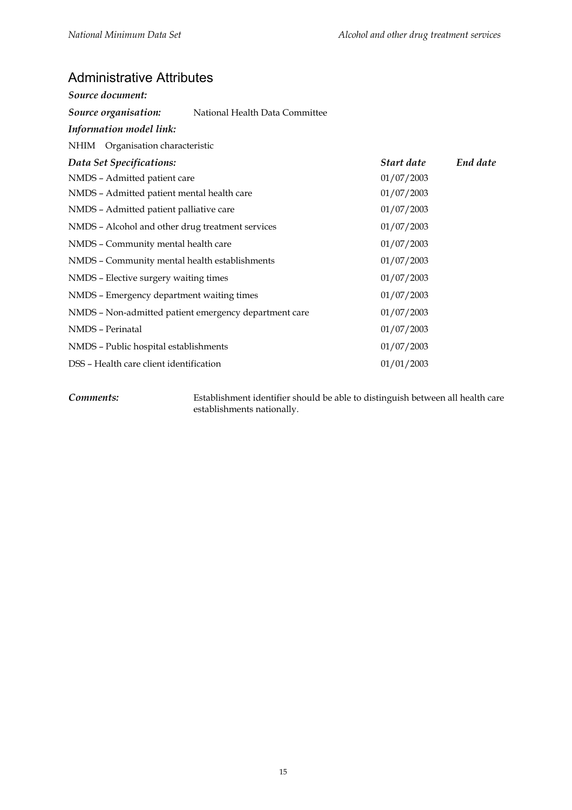#### Administrative Attributes

| Source document:                                 |                                                       |            |          |
|--------------------------------------------------|-------------------------------------------------------|------------|----------|
| Source organisation:                             | National Health Data Committee                        |            |          |
| Information model link:                          |                                                       |            |          |
| NHIM Organisation characteristic                 |                                                       |            |          |
| Data Set Specifications:                         |                                                       | Start date | End date |
| NMDS - Admitted patient care                     |                                                       | 01/07/2003 |          |
| NMDS - Admitted patient mental health care       |                                                       | 01/07/2003 |          |
| NMDS - Admitted patient palliative care          |                                                       | 01/07/2003 |          |
| NMDS - Alcohol and other drug treatment services |                                                       | 01/07/2003 |          |
| NMDS - Community mental health care              |                                                       | 01/07/2003 |          |
| NMDS - Community mental health establishments    |                                                       | 01/07/2003 |          |
| NMDS - Elective surgery waiting times            |                                                       | 01/07/2003 |          |
| NMDS - Emergency department waiting times        |                                                       | 01/07/2003 |          |
|                                                  | NMDS - Non-admitted patient emergency department care | 01/07/2003 |          |
| NMDS - Perinatal                                 |                                                       | 01/07/2003 |          |
| NMDS - Public hospital establishments            |                                                       | 01/07/2003 |          |
| DSS - Health care client identification          |                                                       | 01/01/2003 |          |

*Comments:* Establishment identifier should be able to distinguish between all health care establishments nationally.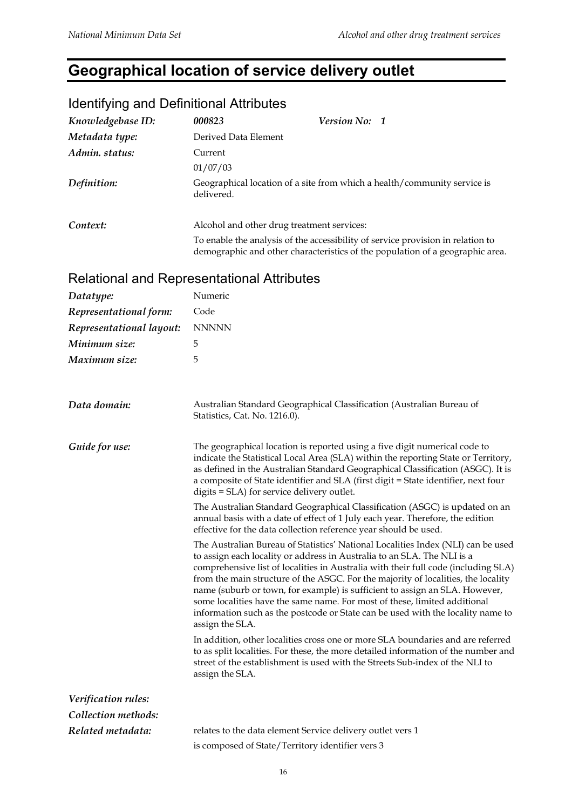## **Geographical location of service delivery outlet**

| <u>ROCHER LINE OF BUILDING AND A SERVE OF A SERVE OF A SERVE OF A SERVE OF A SERVE OF A SERVE OF A SERVE OF A SERVE OF A SERVE OF A SERVE OF A SERVE OF A SERVE OF A SERVE OF A SERVE OF A SERVE OF A SERVE OF A SERVE OF A SERV</u> |                      |                                                                                                                                                                  |
|--------------------------------------------------------------------------------------------------------------------------------------------------------------------------------------------------------------------------------------|----------------------|------------------------------------------------------------------------------------------------------------------------------------------------------------------|
| Knowledgebase ID:                                                                                                                                                                                                                    | 000823               | Version No: 1                                                                                                                                                    |
| Metadata type:                                                                                                                                                                                                                       | Derived Data Element |                                                                                                                                                                  |
| Admin. status:                                                                                                                                                                                                                       | Current              |                                                                                                                                                                  |
|                                                                                                                                                                                                                                      | 01/07/03             |                                                                                                                                                                  |
| Definition:                                                                                                                                                                                                                          | delivered.           | Geographical location of a site from which a health/community service is                                                                                         |
| Context:                                                                                                                                                                                                                             |                      | Alcohol and other drug treatment services:                                                                                                                       |
|                                                                                                                                                                                                                                      |                      | To enable the analysis of the accessibility of service provision in relation to<br>demographic and other characteristics of the population of a geographic area. |
| <b>Relational and Representational Attributes</b>                                                                                                                                                                                    |                      |                                                                                                                                                                  |
| Datatype:                                                                                                                                                                                                                            | Numeric              |                                                                                                                                                                  |
| Representational form:                                                                                                                                                                                                               | Code                 |                                                                                                                                                                  |

## Identifying and Definitional Attributes

| Representational form:   | Code                                                                                                                                                                                                                                                                                                                                                                                                                                                                                                                                                                                                     |
|--------------------------|----------------------------------------------------------------------------------------------------------------------------------------------------------------------------------------------------------------------------------------------------------------------------------------------------------------------------------------------------------------------------------------------------------------------------------------------------------------------------------------------------------------------------------------------------------------------------------------------------------|
| Representational layout: | <b>NNNNN</b>                                                                                                                                                                                                                                                                                                                                                                                                                                                                                                                                                                                             |
| Minimum size:            | 5                                                                                                                                                                                                                                                                                                                                                                                                                                                                                                                                                                                                        |
| Maximum size:            | 5                                                                                                                                                                                                                                                                                                                                                                                                                                                                                                                                                                                                        |
|                          |                                                                                                                                                                                                                                                                                                                                                                                                                                                                                                                                                                                                          |
| Data domain:             | Australian Standard Geographical Classification (Australian Bureau of<br>Statistics, Cat. No. 1216.0).                                                                                                                                                                                                                                                                                                                                                                                                                                                                                                   |
| Guide for use:           | The geographical location is reported using a five digit numerical code to<br>indicate the Statistical Local Area (SLA) within the reporting State or Territory,<br>as defined in the Australian Standard Geographical Classification (ASGC). It is<br>a composite of State identifier and SLA (first digit = State identifier, next four<br>digits = SLA) for service delivery outlet.                                                                                                                                                                                                                  |
|                          | The Australian Standard Geographical Classification (ASGC) is updated on an<br>annual basis with a date of effect of 1 July each year. Therefore, the edition<br>effective for the data collection reference year should be used.                                                                                                                                                                                                                                                                                                                                                                        |
|                          | The Australian Bureau of Statistics' National Localities Index (NLI) can be used<br>to assign each locality or address in Australia to an SLA. The NLI is a<br>comprehensive list of localities in Australia with their full code (including SLA)<br>from the main structure of the ASGC. For the majority of localities, the locality<br>name (suburb or town, for example) is sufficient to assign an SLA. However,<br>some localities have the same name. For most of these, limited additional<br>information such as the postcode or State can be used with the locality name to<br>assign the SLA. |
|                          | In addition, other localities cross one or more SLA boundaries and are referred<br>to as split localities. For these, the more detailed information of the number and<br>street of the establishment is used with the Streets Sub-index of the NLI to<br>assign the SLA.                                                                                                                                                                                                                                                                                                                                 |
| Verification rules:      |                                                                                                                                                                                                                                                                                                                                                                                                                                                                                                                                                                                                          |
| Collection methods:      |                                                                                                                                                                                                                                                                                                                                                                                                                                                                                                                                                                                                          |
| Related metadata:        | relates to the data element Service delivery outlet vers 1                                                                                                                                                                                                                                                                                                                                                                                                                                                                                                                                               |
|                          | is composed of State/Territory identifier vers 3                                                                                                                                                                                                                                                                                                                                                                                                                                                                                                                                                         |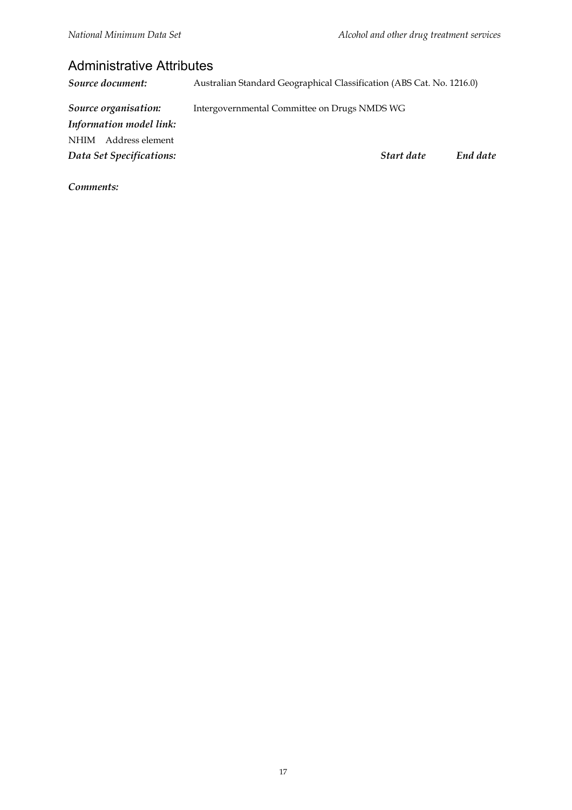#### Administrative Attributes

*Source document:* Australian Standard Geographical Classification (ABS Cat. No. 1216.0) *Source organisation:* Intergovernmental Committee on Drugs NMDS WG *Information model link:* NHIM Address element *Data Set Specifications: Start date End date*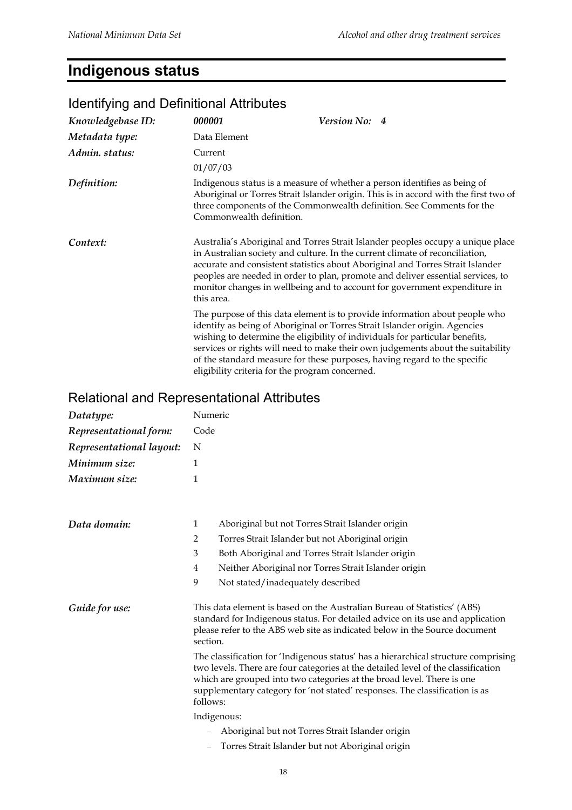#### **Indigenous status**

#### *Knowledgebase ID: 000001 Version No: 4 Metadata type:* Data Element *Admin. status:* Current 01/07/03 *Definition:* Indigenous status is a measure of whether a person identifies as being of Aboriginal or Torres Strait Islander origin. This is in accord with the first two of three components of the Commonwealth definition. See Comments for the Commonwealth definition. **Context:** Australia's Aboriginal and Torres Strait Islander peoples occupy a unique place in Australian society and culture. In the current climate of reconciliation, accurate and consistent statistics about Aboriginal and Torres Strait Islander peoples are needed in order to plan, promote and deliver essential services, to monitor changes in wellbeing and to account for government expenditure in this area. The purpose of this data element is to provide information about people who identify as being of Aboriginal or Torres Strait Islander origin. Agencies wishing to determine the eligibility of individuals for particular benefits, services or rights will need to make their own judgements about the suitability of the standard measure for these purposes, having regard to the specific eligibility criteria for the program concerned.

#### Identifying and Definitional Attributes

#### Relational and Representational Attributes

| Datatype:                | Numeric  |                                                                                                                                                                                                                                                                                                                                  |  |
|--------------------------|----------|----------------------------------------------------------------------------------------------------------------------------------------------------------------------------------------------------------------------------------------------------------------------------------------------------------------------------------|--|
| Representational form:   | Code     |                                                                                                                                                                                                                                                                                                                                  |  |
| Representational layout: | N        |                                                                                                                                                                                                                                                                                                                                  |  |
| Minimum size:            | 1        |                                                                                                                                                                                                                                                                                                                                  |  |
| Maximum size:            | 1        |                                                                                                                                                                                                                                                                                                                                  |  |
| Data domain:             | 1        | Aboriginal but not Torres Strait Islander origin                                                                                                                                                                                                                                                                                 |  |
|                          | 2        | Torres Strait Islander but not Aboriginal origin                                                                                                                                                                                                                                                                                 |  |
|                          | 3        | Both Aboriginal and Torres Strait Islander origin                                                                                                                                                                                                                                                                                |  |
|                          | 4        | Neither Aboriginal nor Torres Strait Islander origin                                                                                                                                                                                                                                                                             |  |
|                          | 9        | Not stated/inadequately described                                                                                                                                                                                                                                                                                                |  |
| Guide for use:           | section. | This data element is based on the Australian Bureau of Statistics' (ABS)<br>standard for Indigenous status. For detailed advice on its use and application<br>please refer to the ABS web site as indicated below in the Source document                                                                                         |  |
|                          | follows: | The classification for 'Indigenous status' has a hierarchical structure comprising<br>two levels. There are four categories at the detailed level of the classification<br>which are grouped into two categories at the broad level. There is one<br>supplementary category for 'not stated' responses. The classification is as |  |
|                          |          | Indigenous:                                                                                                                                                                                                                                                                                                                      |  |
|                          |          | Aboriginal but not Torres Strait Islander origin                                                                                                                                                                                                                                                                                 |  |
|                          |          | Torres Strait Islander but not Aboriginal origin                                                                                                                                                                                                                                                                                 |  |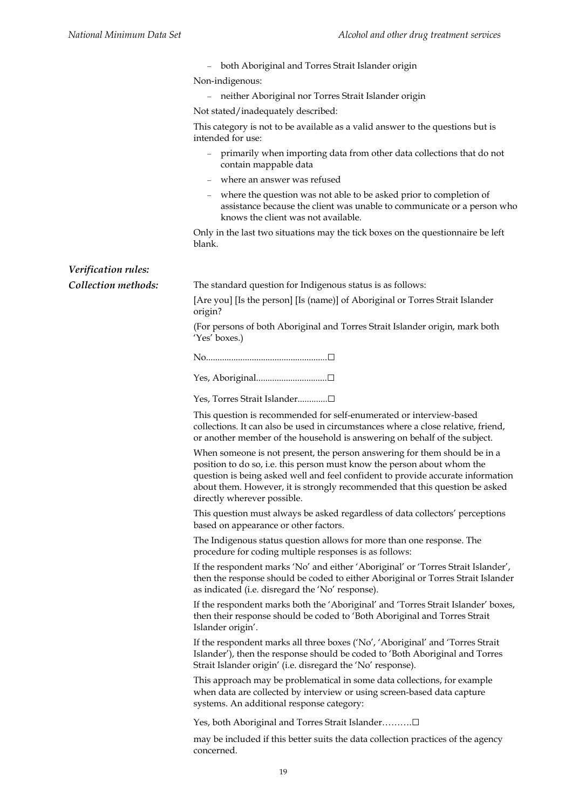|                     | both Aboriginal and Torres Strait Islander origin                                                                                                                                                                                                                                                                                                     |
|---------------------|-------------------------------------------------------------------------------------------------------------------------------------------------------------------------------------------------------------------------------------------------------------------------------------------------------------------------------------------------------|
|                     | Non-indigenous:                                                                                                                                                                                                                                                                                                                                       |
|                     | neither Aboriginal nor Torres Strait Islander origin                                                                                                                                                                                                                                                                                                  |
|                     | Not stated/inadequately described:                                                                                                                                                                                                                                                                                                                    |
|                     | This category is not to be available as a valid answer to the questions but is<br>intended for use:                                                                                                                                                                                                                                                   |
|                     | primarily when importing data from other data collections that do not<br>$\equiv$<br>contain mappable data                                                                                                                                                                                                                                            |
|                     | where an answer was refused                                                                                                                                                                                                                                                                                                                           |
|                     | where the question was not able to be asked prior to completion of<br>$\hspace{1.0cm} - \hspace{1.0cm}$<br>assistance because the client was unable to communicate or a person who<br>knows the client was not available.                                                                                                                             |
|                     | Only in the last two situations may the tick boxes on the questionnaire be left<br>blank.                                                                                                                                                                                                                                                             |
| Verification rules: |                                                                                                                                                                                                                                                                                                                                                       |
| Collection methods: | The standard question for Indigenous status is as follows:                                                                                                                                                                                                                                                                                            |
|                     | [Are you] [Is the person] [Is (name)] of Aboriginal or Torres Strait Islander<br>origin?                                                                                                                                                                                                                                                              |
|                     | (For persons of both Aboriginal and Torres Strait Islander origin, mark both<br>'Yes' boxes.)                                                                                                                                                                                                                                                         |
|                     |                                                                                                                                                                                                                                                                                                                                                       |
|                     |                                                                                                                                                                                                                                                                                                                                                       |
|                     | Yes, Torres Strait Islander□                                                                                                                                                                                                                                                                                                                          |
|                     | This question is recommended for self-enumerated or interview-based<br>collections. It can also be used in circumstances where a close relative, friend,<br>or another member of the household is answering on behalf of the subject.                                                                                                                 |
|                     | When someone is not present, the person answering for them should be in a<br>position to do so, i.e. this person must know the person about whom the<br>question is being asked well and feel confident to provide accurate information<br>about them. However, it is strongly recommended that this question be asked<br>directly wherever possible. |
|                     | This question must always be asked regardless of data collectors' perceptions<br>based on appearance or other factors.                                                                                                                                                                                                                                |
|                     | The Indigenous status question allows for more than one response. The<br>procedure for coding multiple responses is as follows:                                                                                                                                                                                                                       |
|                     | If the respondent marks 'No' and either 'Aboriginal' or 'Torres Strait Islander',<br>then the response should be coded to either Aboriginal or Torres Strait Islander<br>as indicated (i.e. disregard the 'No' response).                                                                                                                             |
|                     | If the respondent marks both the 'Aboriginal' and 'Torres Strait Islander' boxes,<br>then their response should be coded to 'Both Aboriginal and Torres Strait<br>Islander origin'.                                                                                                                                                                   |
|                     | If the respondent marks all three boxes ('No', 'Aboriginal' and 'Torres Strait<br>Islander'), then the response should be coded to 'Both Aboriginal and Torres<br>Strait Islander origin' (i.e. disregard the 'No' response).                                                                                                                         |
|                     | This approach may be problematical in some data collections, for example<br>when data are collected by interview or using screen-based data capture<br>systems. An additional response category:                                                                                                                                                      |
|                     | Yes, both Aboriginal and Torres Strait Islander□                                                                                                                                                                                                                                                                                                      |
|                     | may be included if this better suits the data collection practices of the agency<br>concerned.                                                                                                                                                                                                                                                        |
|                     |                                                                                                                                                                                                                                                                                                                                                       |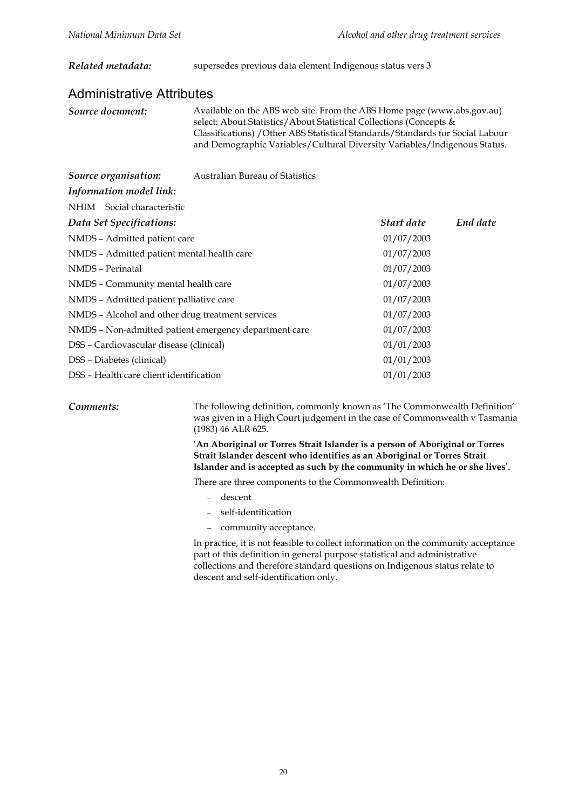#### *Related metadata:* supersedes previous data element Indigenous status vers 3

#### Administrative Attributes

*Source document:* Available on the ABS web site. From the ABS Home page (www.abs.gov.au) select: About Statistics/About Statistical Collections (Concepts & Classifications) /Other ABS Statistical Standards/Standards for Social Labour and Demographic Variables/Cultural Diversity Variables/Indigenous Status.

*Source organisation:* Australian Bureau of Statistics

| Information model link: |  |
|-------------------------|--|
|                         |  |

| NHIM Social characteristic                            |            |          |
|-------------------------------------------------------|------------|----------|
| Data Set Specifications:                              | Start date | End date |
| NMDS - Admitted patient care                          | 01/07/2003 |          |
| NMDS - Admitted patient mental health care            | 01/07/2003 |          |
| NMDS - Perinatal                                      | 01/07/2003 |          |
| NMDS - Community mental health care                   | 01/07/2003 |          |
| NMDS - Admitted patient palliative care               | 01/07/2003 |          |
| NMDS – Alcohol and other drug treatment services      | 01/07/2003 |          |
| NMDS - Non-admitted patient emergency department care | 01/07/2003 |          |
| DSS - Cardiovascular disease (clinical)               | 01/01/2003 |          |
| DSS - Diabetes (clinical)                             | 01/01/2003 |          |
| DSS – Health care client identification               | 01/01/2003 |          |

*Comments:* The following definition, commonly known as 'The Commonwealth Definition' was given in a High Court judgement in the case of Commonwealth v Tasmania (1983) 46 ALR 625.

> '**An Aboriginal or Torres Strait Islander is a person of Aboriginal or Torres Strait Islander descent who identifies as an Aboriginal or Torres Strait Islander and is accepted as such by the community in which he or she lives**'**.**

There are three components to the Commonwealth Definition:

- descent
- self-identification
- community acceptance.

In practice, it is not feasible to collect information on the community acceptance part of this definition in general purpose statistical and administrative collections and therefore standard questions on Indigenous status relate to descent and self-identification only.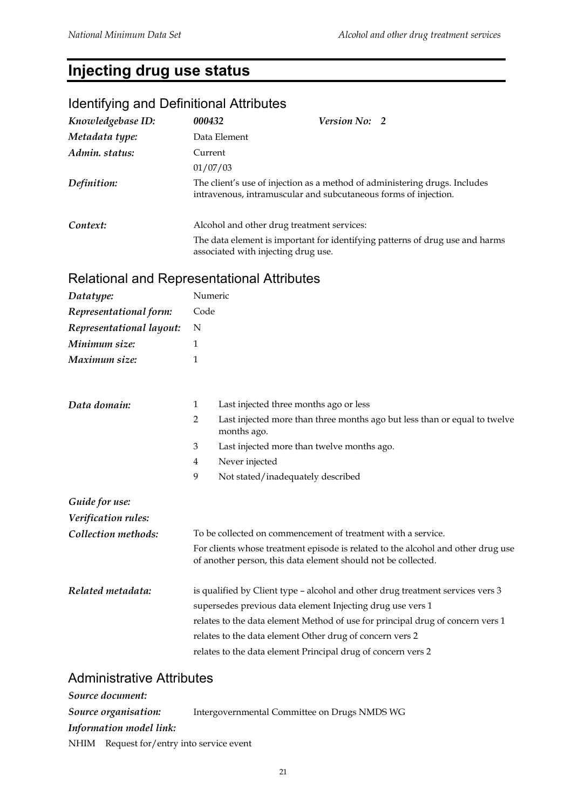## **Injecting drug use status**

## Identifying and Definitional Attributes

| Knowledgebase ID: | 000432                                                                                                                                        | <b>Version No: 2</b> |                                                                              |
|-------------------|-----------------------------------------------------------------------------------------------------------------------------------------------|----------------------|------------------------------------------------------------------------------|
| Metadata type:    | Data Element                                                                                                                                  |                      |                                                                              |
| Admin. status:    | Current                                                                                                                                       |                      |                                                                              |
|                   | 01/07/03                                                                                                                                      |                      |                                                                              |
| Definition:       | The client's use of injection as a method of administering drugs. Includes<br>intravenous, intramuscular and subcutaneous forms of injection. |                      |                                                                              |
| Context:          | Alcohol and other drug treatment services:                                                                                                    |                      |                                                                              |
|                   | associated with injecting drug use.                                                                                                           |                      | The data element is important for identifying patterns of drug use and harms |

## Relational and Representational Attributes

| Datatype:                | Numeric                                                      |                                                                                                                                                   |  |
|--------------------------|--------------------------------------------------------------|---------------------------------------------------------------------------------------------------------------------------------------------------|--|
| Representational form:   | Code                                                         |                                                                                                                                                   |  |
| Representational layout: | N                                                            |                                                                                                                                                   |  |
| Minimum size:            | $\mathbf{1}$                                                 |                                                                                                                                                   |  |
| Maximum size:            | $\mathbf{1}$                                                 |                                                                                                                                                   |  |
|                          |                                                              |                                                                                                                                                   |  |
| Data domain:             | 1                                                            | Last injected three months ago or less                                                                                                            |  |
|                          | $\overline{2}$                                               | Last injected more than three months ago but less than or equal to twelve<br>months ago.                                                          |  |
|                          | 3                                                            | Last injected more than twelve months ago.                                                                                                        |  |
|                          | 4                                                            | Never injected                                                                                                                                    |  |
|                          | 9                                                            | Not stated/inadequately described                                                                                                                 |  |
| Guide for use:           |                                                              |                                                                                                                                                   |  |
| Verification rules:      |                                                              |                                                                                                                                                   |  |
| Collection methods:      | To be collected on commencement of treatment with a service. |                                                                                                                                                   |  |
|                          |                                                              | For clients whose treatment episode is related to the alcohol and other drug use<br>of another person, this data element should not be collected. |  |
| Related metadata:        |                                                              | is qualified by Client type - alcohol and other drug treatment services vers 3                                                                    |  |
|                          |                                                              | supersedes previous data element Injecting drug use vers 1                                                                                        |  |
|                          |                                                              | relates to the data element Method of use for principal drug of concern vers 1                                                                    |  |
|                          |                                                              | relates to the data element Other drug of concern vers 2                                                                                          |  |
|                          |                                                              | relates to the data element Principal drug of concern vers 2                                                                                      |  |

#### Administrative Attributes

| Source document:                          |                                              |
|-------------------------------------------|----------------------------------------------|
| Source organisation:                      | Intergovernmental Committee on Drugs NMDS WG |
| Information model link:                   |                                              |
| NHIM Request for/entry into service event |                                              |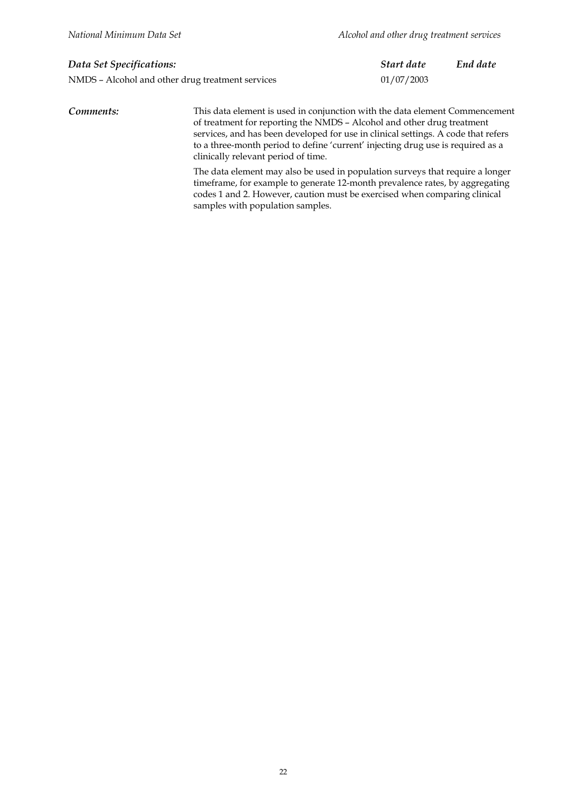| Data Set Specifications:                         | Start date | End date |
|--------------------------------------------------|------------|----------|
| NMDS - Alcohol and other drug treatment services | 01/07/2003 |          |

*Comments:* This data element is used in conjunction with the data element Commencement of treatment for reporting the NMDS – Alcohol and other drug treatment services, and has been developed for use in clinical settings. A code that refers to a three-month period to define 'current' injecting drug use is required as a clinically relevant period of time.

> The data element may also be used in population surveys that require a longer timeframe, for example to generate 12-month prevalence rates, by aggregating codes 1 and 2. However, caution must be exercised when comparing clinical samples with population samples.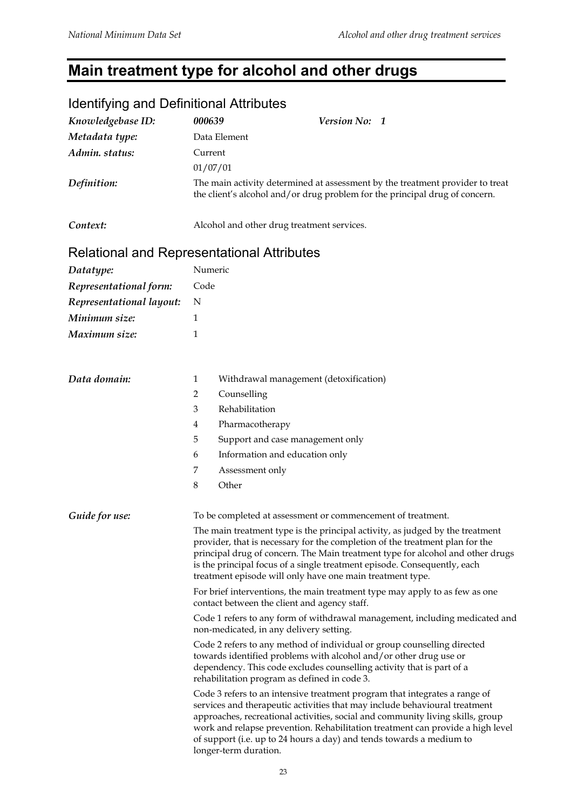## **Main treatment type for alcohol and other drugs**

| <u>identifying and Dennitional Attributes</u> |                                                                                                                                                                                                                                                                                                                                                                                          |                                                                                                                                                                                                                                                                                                                                                                                                      |  |  |
|-----------------------------------------------|------------------------------------------------------------------------------------------------------------------------------------------------------------------------------------------------------------------------------------------------------------------------------------------------------------------------------------------------------------------------------------------|------------------------------------------------------------------------------------------------------------------------------------------------------------------------------------------------------------------------------------------------------------------------------------------------------------------------------------------------------------------------------------------------------|--|--|
| Knowledgebase ID:                             | 000639                                                                                                                                                                                                                                                                                                                                                                                   | Version No: 1                                                                                                                                                                                                                                                                                                                                                                                        |  |  |
| Metadata type:                                | Data Element                                                                                                                                                                                                                                                                                                                                                                             |                                                                                                                                                                                                                                                                                                                                                                                                      |  |  |
| Admin. status:                                | Current                                                                                                                                                                                                                                                                                                                                                                                  |                                                                                                                                                                                                                                                                                                                                                                                                      |  |  |
|                                               | 01/07/01                                                                                                                                                                                                                                                                                                                                                                                 |                                                                                                                                                                                                                                                                                                                                                                                                      |  |  |
| Definition:                                   |                                                                                                                                                                                                                                                                                                                                                                                          | The main activity determined at assessment by the treatment provider to treat<br>the client's alcohol and/or drug problem for the principal drug of concern.                                                                                                                                                                                                                                         |  |  |
| Context:                                      |                                                                                                                                                                                                                                                                                                                                                                                          | Alcohol and other drug treatment services.                                                                                                                                                                                                                                                                                                                                                           |  |  |
| Relational and Representational Attributes    |                                                                                                                                                                                                                                                                                                                                                                                          |                                                                                                                                                                                                                                                                                                                                                                                                      |  |  |
| Datatype:                                     | Numeric                                                                                                                                                                                                                                                                                                                                                                                  |                                                                                                                                                                                                                                                                                                                                                                                                      |  |  |
| Representational form:                        | Code                                                                                                                                                                                                                                                                                                                                                                                     |                                                                                                                                                                                                                                                                                                                                                                                                      |  |  |
| Representational layout:                      | N                                                                                                                                                                                                                                                                                                                                                                                        |                                                                                                                                                                                                                                                                                                                                                                                                      |  |  |
| Minimum size:                                 | 1                                                                                                                                                                                                                                                                                                                                                                                        |                                                                                                                                                                                                                                                                                                                                                                                                      |  |  |
| Maximum size:                                 | 1                                                                                                                                                                                                                                                                                                                                                                                        |                                                                                                                                                                                                                                                                                                                                                                                                      |  |  |
|                                               |                                                                                                                                                                                                                                                                                                                                                                                          |                                                                                                                                                                                                                                                                                                                                                                                                      |  |  |
| Data domain:                                  | 1                                                                                                                                                                                                                                                                                                                                                                                        | Withdrawal management (detoxification)                                                                                                                                                                                                                                                                                                                                                               |  |  |
|                                               | $\overline{2}$<br>Counselling                                                                                                                                                                                                                                                                                                                                                            |                                                                                                                                                                                                                                                                                                                                                                                                      |  |  |
|                                               | Rehabilitation<br>3                                                                                                                                                                                                                                                                                                                                                                      |                                                                                                                                                                                                                                                                                                                                                                                                      |  |  |
|                                               | $\overline{4}$                                                                                                                                                                                                                                                                                                                                                                           | Pharmacotherapy                                                                                                                                                                                                                                                                                                                                                                                      |  |  |
|                                               | 5                                                                                                                                                                                                                                                                                                                                                                                        | Support and case management only                                                                                                                                                                                                                                                                                                                                                                     |  |  |
|                                               | 6                                                                                                                                                                                                                                                                                                                                                                                        | Information and education only                                                                                                                                                                                                                                                                                                                                                                       |  |  |
|                                               | 7                                                                                                                                                                                                                                                                                                                                                                                        | Assessment only                                                                                                                                                                                                                                                                                                                                                                                      |  |  |
|                                               | 8<br>Other                                                                                                                                                                                                                                                                                                                                                                               |                                                                                                                                                                                                                                                                                                                                                                                                      |  |  |
| Guide for use:                                |                                                                                                                                                                                                                                                                                                                                                                                          | To be completed at assessment or commencement of treatment.                                                                                                                                                                                                                                                                                                                                          |  |  |
|                                               | The main treatment type is the principal activity, as judged by the treatment<br>provider, that is necessary for the completion of the treatment plan for the<br>principal drug of concern. The Main treatment type for alcohol and other drugs<br>is the principal focus of a single treatment episode. Consequently, each<br>treatment episode will only have one main treatment type. |                                                                                                                                                                                                                                                                                                                                                                                                      |  |  |
|                                               | For brief interventions, the main treatment type may apply to as few as one<br>contact between the client and agency staff.                                                                                                                                                                                                                                                              |                                                                                                                                                                                                                                                                                                                                                                                                      |  |  |
|                                               | Code 1 refers to any form of withdrawal management, including medicated and<br>non-medicated, in any delivery setting.                                                                                                                                                                                                                                                                   |                                                                                                                                                                                                                                                                                                                                                                                                      |  |  |
|                                               |                                                                                                                                                                                                                                                                                                                                                                                          | Code 2 refers to any method of individual or group counselling directed<br>towards identified problems with alcohol and/or other drug use or<br>dependency. This code excludes counselling activity that is part of a<br>rehabilitation program as defined in code 3.                                                                                                                                |  |  |
|                                               | longer-term duration.                                                                                                                                                                                                                                                                                                                                                                    | Code 3 refers to an intensive treatment program that integrates a range of<br>services and therapeutic activities that may include behavioural treatment<br>approaches, recreational activities, social and community living skills, group<br>work and relapse prevention. Rehabilitation treatment can provide a high level<br>of support (i.e. up to 24 hours a day) and tends towards a medium to |  |  |

#### Identifying and Definitional Attributes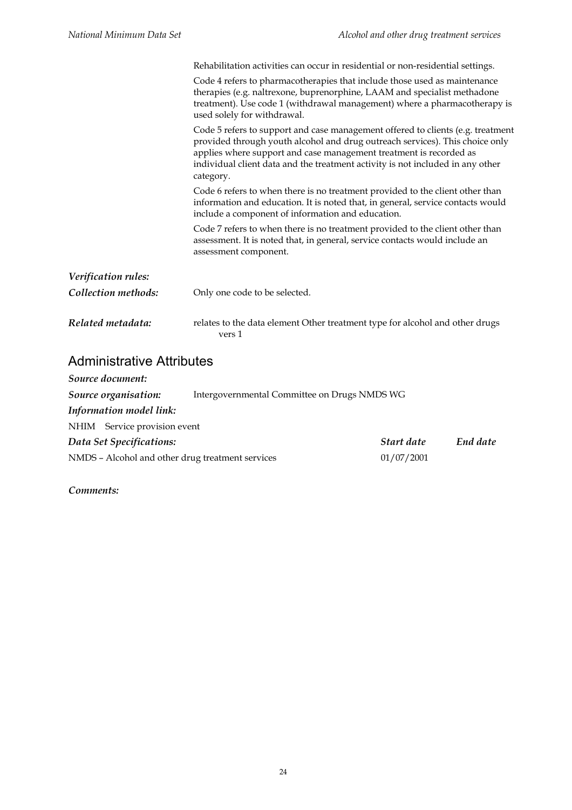|                     | Rehabilitation activities can occur in residential or non-residential settings.                                                                                                                                                                                                                                                      |
|---------------------|--------------------------------------------------------------------------------------------------------------------------------------------------------------------------------------------------------------------------------------------------------------------------------------------------------------------------------------|
|                     | Code 4 refers to pharmacotherapies that include those used as maintenance<br>therapies (e.g. naltrexone, buprenorphine, LAAM and specialist methadone<br>treatment). Use code 1 (withdrawal management) where a pharmacotherapy is<br>used solely for withdrawal.                                                                    |
|                     | Code 5 refers to support and case management offered to clients (e.g. treatment<br>provided through youth alcohol and drug outreach services). This choice only<br>applies where support and case management treatment is recorded as<br>individual client data and the treatment activity is not included in any other<br>category. |
|                     | Code 6 refers to when there is no treatment provided to the client other than<br>information and education. It is noted that, in general, service contacts would<br>include a component of information and education.                                                                                                                |
|                     | Code 7 refers to when there is no treatment provided to the client other than<br>assessment. It is noted that, in general, service contacts would include an<br>assessment component.                                                                                                                                                |
| Verification rules: |                                                                                                                                                                                                                                                                                                                                      |
| Collection methods: | Only one code to be selected.                                                                                                                                                                                                                                                                                                        |
| Related metadata:   | relates to the data element Other treatment type for alcohol and other drugs<br>vers 1                                                                                                                                                                                                                                               |

## Administrative Attributes

| Source document:                                 |                                              |            |          |
|--------------------------------------------------|----------------------------------------------|------------|----------|
| Source organisation:                             | Intergovernmental Committee on Drugs NMDS WG |            |          |
| Information model link:                          |                                              |            |          |
| NHIM Service provision event                     |                                              |            |          |
| Data Set Specifications:                         |                                              | Start date | End date |
| NMDS - Alcohol and other drug treatment services |                                              | 01/07/2001 |          |
|                                                  |                                              |            |          |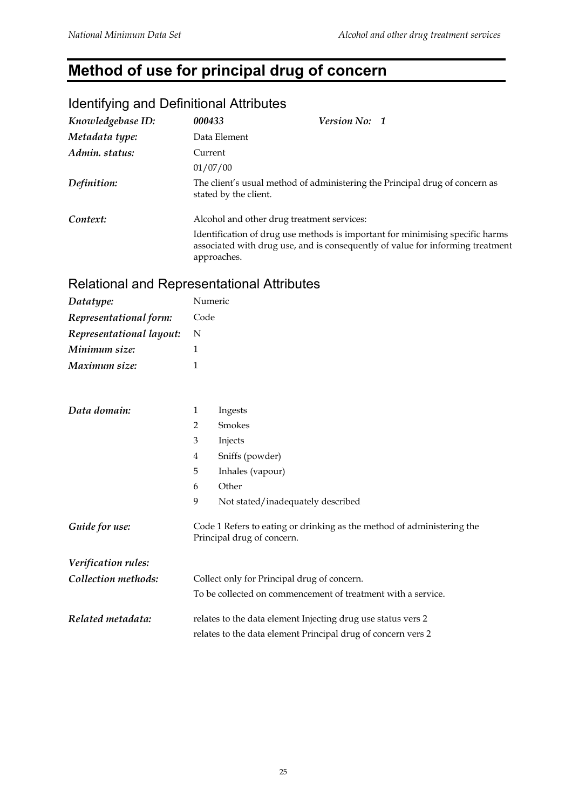## **Method of use for principal drug of concern**

## Identifying and Definitional Attributes

| Knowledgebase ID: | 000433                                                                                               | <b>Version No: 1</b>                                                                                                                                            |  |
|-------------------|------------------------------------------------------------------------------------------------------|-----------------------------------------------------------------------------------------------------------------------------------------------------------------|--|
| Metadata type:    | Data Element                                                                                         |                                                                                                                                                                 |  |
| Admin. status:    | Current                                                                                              |                                                                                                                                                                 |  |
|                   | 01/07/00                                                                                             |                                                                                                                                                                 |  |
| Definition:       | The client's usual method of administering the Principal drug of concern as<br>stated by the client. |                                                                                                                                                                 |  |
| Context:          | Alcohol and other drug treatment services:                                                           |                                                                                                                                                                 |  |
|                   | approaches.                                                                                          | Identification of drug use methods is important for minimising specific harms<br>associated with drug use, and is consequently of value for informing treatment |  |

#### Relational and Representational Attributes

| Datatype:                | Numeric                                                                                              |                                                              |  |
|--------------------------|------------------------------------------------------------------------------------------------------|--------------------------------------------------------------|--|
| Representational form:   | Code                                                                                                 |                                                              |  |
| Representational layout: | N                                                                                                    |                                                              |  |
| Minimum size:            | $\mathbf{1}$                                                                                         |                                                              |  |
| Maximum size:            | 1                                                                                                    |                                                              |  |
|                          |                                                                                                      |                                                              |  |
| Data domain:             | $\mathbf{1}$                                                                                         | Ingests                                                      |  |
|                          | 2                                                                                                    | Smokes                                                       |  |
|                          | 3                                                                                                    | Injects                                                      |  |
|                          | 4                                                                                                    | Sniffs (powder)                                              |  |
|                          | 5                                                                                                    | Inhales (vapour)                                             |  |
|                          | 6                                                                                                    | Other                                                        |  |
|                          | 9                                                                                                    | Not stated/inadequately described                            |  |
| Guide for use:           | Code 1 Refers to eating or drinking as the method of administering the<br>Principal drug of concern. |                                                              |  |
| Verification rules:      |                                                                                                      |                                                              |  |
| Collection methods:      | Collect only for Principal drug of concern.                                                          |                                                              |  |
|                          |                                                                                                      | To be collected on commencement of treatment with a service. |  |
| Related metadata:        |                                                                                                      | relates to the data element Injecting drug use status vers 2 |  |
|                          |                                                                                                      | relates to the data element Principal drug of concern vers 2 |  |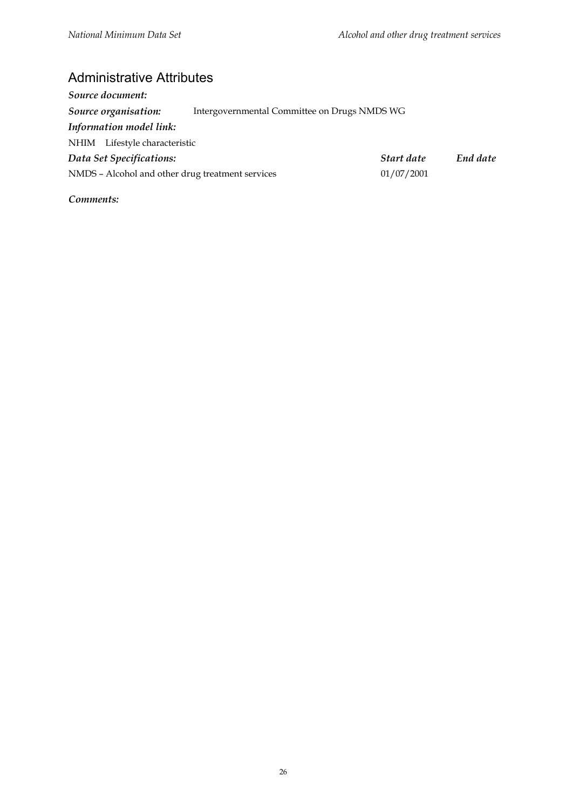#### Administrative Attributes

| Source document:                                 |                                              |            |          |
|--------------------------------------------------|----------------------------------------------|------------|----------|
| Source organisation:                             | Intergovernmental Committee on Drugs NMDS WG |            |          |
| Information model link:                          |                                              |            |          |
| NHIM Lifestyle characteristic                    |                                              |            |          |
| Data Set Specifications:                         |                                              | Start date | End date |
| NMDS - Alcohol and other drug treatment services |                                              | 01/07/2001 |          |
|                                                  |                                              |            |          |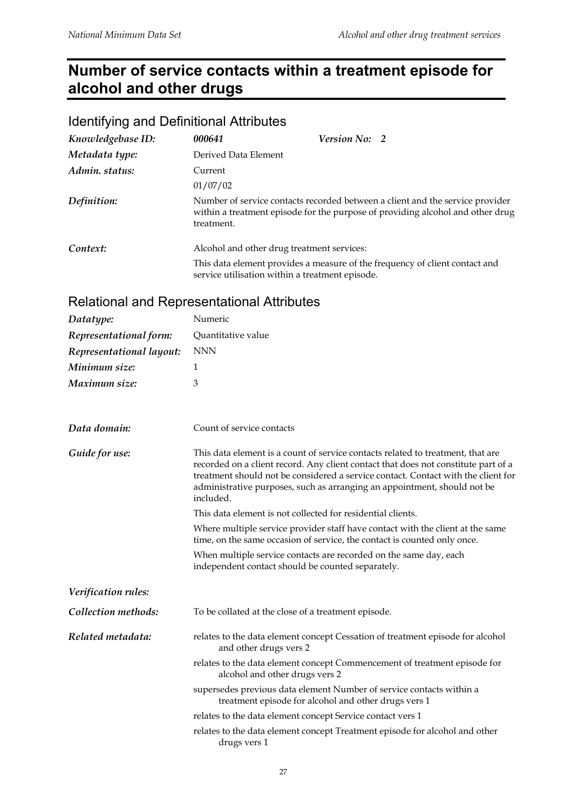## **Number of service contacts within a treatment episode for alcohol and other drugs**

| Identifying and Definitional Attributes |                      |                                                                                                                                                                 |  |  |
|-----------------------------------------|----------------------|-----------------------------------------------------------------------------------------------------------------------------------------------------------------|--|--|
| Knowledgebase ID:                       | 000641               | Version No: 2                                                                                                                                                   |  |  |
| Metadata type:                          | Derived Data Element |                                                                                                                                                                 |  |  |
| Admin. status:                          | Current              |                                                                                                                                                                 |  |  |
|                                         | 01/07/02             |                                                                                                                                                                 |  |  |
| Definition:                             | treatment.           | Number of service contacts recorded between a client and the service provider<br>within a treatment episode for the purpose of providing alcohol and other drug |  |  |
| Context:                                |                      | Alcohol and other drug treatment services:                                                                                                                      |  |  |
|                                         |                      | This data element provides a measure of the frequency of client contact and<br>service utilisation within a treatment episode.                                  |  |  |

#### Identifying and Definitional Attributes

#### Relational and Representational Attributes

| Datatype:                | Numeric                                                                                                                                                                                                                                                                                                                                             |  |  |
|--------------------------|-----------------------------------------------------------------------------------------------------------------------------------------------------------------------------------------------------------------------------------------------------------------------------------------------------------------------------------------------------|--|--|
| Representational form:   | Quantitative value                                                                                                                                                                                                                                                                                                                                  |  |  |
| Representational layout: | <b>NNN</b>                                                                                                                                                                                                                                                                                                                                          |  |  |
| Minimum size:            | 1                                                                                                                                                                                                                                                                                                                                                   |  |  |
| Maximum size:            | 3                                                                                                                                                                                                                                                                                                                                                   |  |  |
| Data domain:             | Count of service contacts                                                                                                                                                                                                                                                                                                                           |  |  |
| Guide for use:           | This data element is a count of service contacts related to treatment, that are<br>recorded on a client record. Any client contact that does not constitute part of a<br>treatment should not be considered a service contact. Contact with the client for<br>administrative purposes, such as arranging an appointment, should not be<br>included. |  |  |
|                          | This data element is not collected for residential clients.                                                                                                                                                                                                                                                                                         |  |  |
|                          | Where multiple service provider staff have contact with the client at the same<br>time, on the same occasion of service, the contact is counted only once.                                                                                                                                                                                          |  |  |
|                          | When multiple service contacts are recorded on the same day, each<br>independent contact should be counted separately.                                                                                                                                                                                                                              |  |  |
| Verification rules:      |                                                                                                                                                                                                                                                                                                                                                     |  |  |
| Collection methods:      | To be collated at the close of a treatment episode.                                                                                                                                                                                                                                                                                                 |  |  |
| Related metadata:        | relates to the data element concept Cessation of treatment episode for alcohol<br>and other drugs vers 2                                                                                                                                                                                                                                            |  |  |
|                          | relates to the data element concept Commencement of treatment episode for<br>alcohol and other drugs vers 2                                                                                                                                                                                                                                         |  |  |
|                          | supersedes previous data element Number of service contacts within a<br>treatment episode for alcohol and other drugs vers 1                                                                                                                                                                                                                        |  |  |
|                          | relates to the data element concept Service contact vers 1                                                                                                                                                                                                                                                                                          |  |  |
|                          | relates to the data element concept Treatment episode for alcohol and other<br>drugs vers 1                                                                                                                                                                                                                                                         |  |  |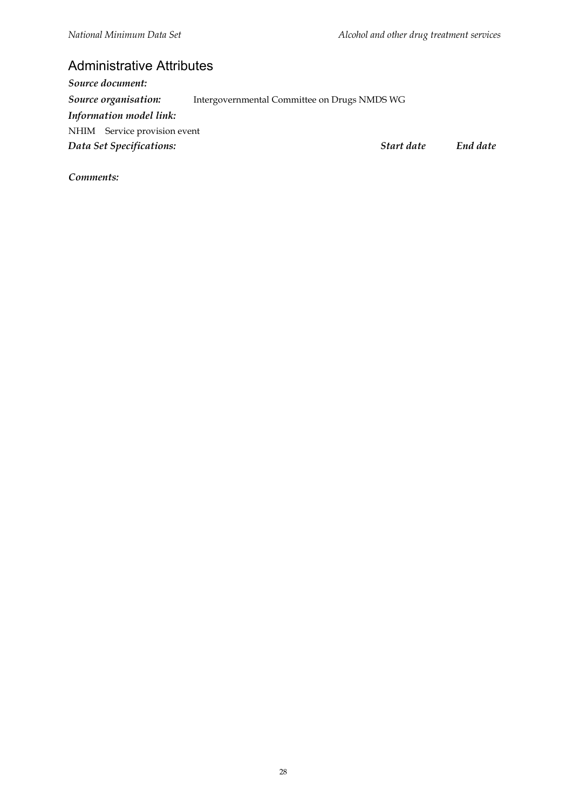#### Administrative Attributes

*Source document: Source organisation:* Intergovernmental Committee on Drugs NMDS WG *Information model link:* NHIM Service provision event *Data Set Specifications: Start date End date*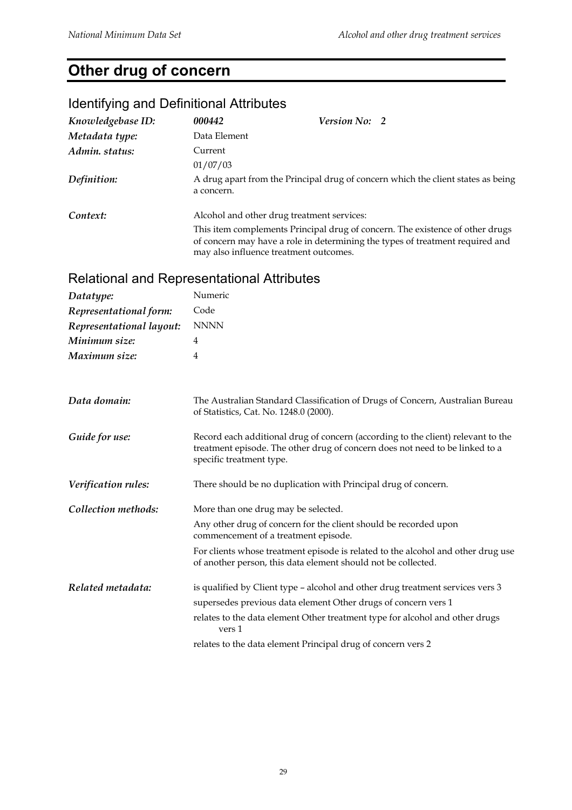## **Other drug of concern**

## Identifying and Definitional Attributes

| Knowledgebase ID: | 000442                                 | Version No: 2                              |                                                                                                                                                                |
|-------------------|----------------------------------------|--------------------------------------------|----------------------------------------------------------------------------------------------------------------------------------------------------------------|
| Metadata type:    | Data Element                           |                                            |                                                                                                                                                                |
| Admin. status:    | Current                                |                                            |                                                                                                                                                                |
|                   | 01/07/03                               |                                            |                                                                                                                                                                |
| Definition:       | a concern.                             |                                            | A drug apart from the Principal drug of concern which the client states as being                                                                               |
| Context:          |                                        | Alcohol and other drug treatment services: |                                                                                                                                                                |
|                   | may also influence treatment outcomes. |                                            | This item complements Principal drug of concern. The existence of other drugs<br>of concern may have a role in determining the types of treatment required and |

#### Relational and Representational Attributes

| Datatype:                | Numeric                                                                                                                                                                                      |
|--------------------------|----------------------------------------------------------------------------------------------------------------------------------------------------------------------------------------------|
| Representational form:   | Code                                                                                                                                                                                         |
| Representational layout: | <b>NNNN</b>                                                                                                                                                                                  |
| Minimum size:            | 4                                                                                                                                                                                            |
| Maximum size:            | 4                                                                                                                                                                                            |
|                          |                                                                                                                                                                                              |
| Data domain:             | The Australian Standard Classification of Drugs of Concern, Australian Bureau<br>of Statistics, Cat. No. 1248.0 (2000).                                                                      |
| Guide for use:           | Record each additional drug of concern (according to the client) relevant to the<br>treatment episode. The other drug of concern does not need to be linked to a<br>specific treatment type. |
| Verification rules:      | There should be no duplication with Principal drug of concern.                                                                                                                               |
| Collection methods:      | More than one drug may be selected.                                                                                                                                                          |
|                          | Any other drug of concern for the client should be recorded upon<br>commencement of a treatment episode.                                                                                     |
|                          | For clients whose treatment episode is related to the alcohol and other drug use<br>of another person, this data element should not be collected.                                            |
| Related metadata:        | is qualified by Client type – alcohol and other drug treatment services vers 3                                                                                                               |
|                          | supersedes previous data element Other drugs of concern vers 1                                                                                                                               |
|                          | relates to the data element Other treatment type for alcohol and other drugs<br>vers 1                                                                                                       |
|                          | relates to the data element Principal drug of concern vers 2                                                                                                                                 |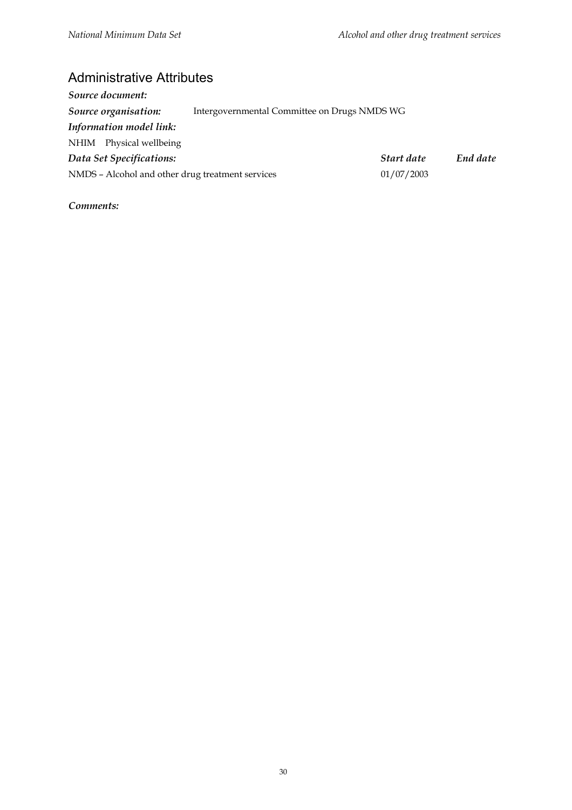#### Administrative Attributes

| Start date                                       | End date                                     |
|--------------------------------------------------|----------------------------------------------|
| 01/07/2003                                       |                                              |
| NMDS - Alcohol and other drug treatment services | Intergovernmental Committee on Drugs NMDS WG |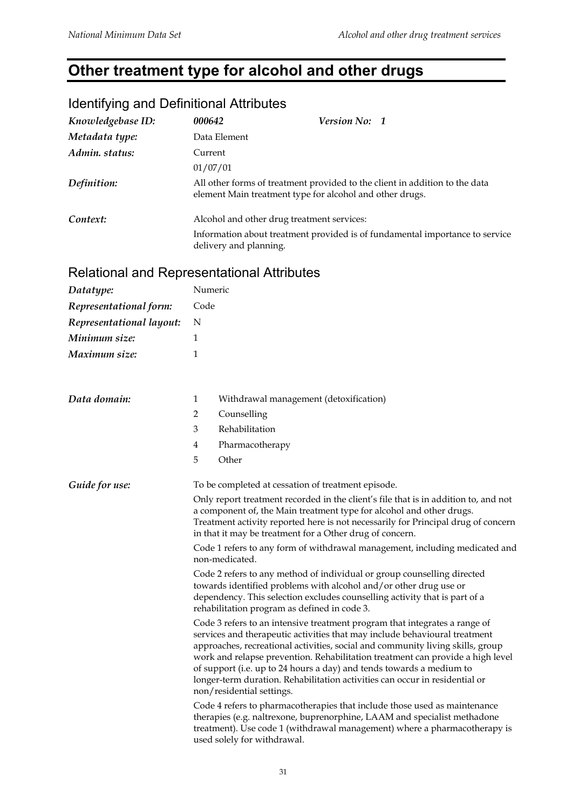## **Other treatment type for alcohol and other drugs**

## Identifying and Definitional Attributes

| Knowledgebase ID: | 000642                                     | Version No: 1                                                                                                                           |
|-------------------|--------------------------------------------|-----------------------------------------------------------------------------------------------------------------------------------------|
| Metadata type:    | Data Element                               |                                                                                                                                         |
| Admin. status:    | Current                                    |                                                                                                                                         |
|                   | 01/07/01                                   |                                                                                                                                         |
| Definition:       |                                            | All other forms of treatment provided to the client in addition to the data<br>element Main treatment type for alcohol and other drugs. |
| Context:          | Alcohol and other drug treatment services: |                                                                                                                                         |
|                   | delivery and planning.                     | Information about treatment provided is of fundamental importance to service                                                            |

## Relational and Representational Attributes

| Datatype:                | Numeric                                                                                                                                                                                                                                                                                                                                                                     |                                                                                                                                                                                                                                                                                                                                                                                                                                                                                                                  |  |
|--------------------------|-----------------------------------------------------------------------------------------------------------------------------------------------------------------------------------------------------------------------------------------------------------------------------------------------------------------------------------------------------------------------------|------------------------------------------------------------------------------------------------------------------------------------------------------------------------------------------------------------------------------------------------------------------------------------------------------------------------------------------------------------------------------------------------------------------------------------------------------------------------------------------------------------------|--|
| Representational form:   | Code                                                                                                                                                                                                                                                                                                                                                                        |                                                                                                                                                                                                                                                                                                                                                                                                                                                                                                                  |  |
| Representational layout: | N                                                                                                                                                                                                                                                                                                                                                                           |                                                                                                                                                                                                                                                                                                                                                                                                                                                                                                                  |  |
| Minimum size:            | 1                                                                                                                                                                                                                                                                                                                                                                           |                                                                                                                                                                                                                                                                                                                                                                                                                                                                                                                  |  |
| Maximum size:            | 1                                                                                                                                                                                                                                                                                                                                                                           |                                                                                                                                                                                                                                                                                                                                                                                                                                                                                                                  |  |
|                          |                                                                                                                                                                                                                                                                                                                                                                             |                                                                                                                                                                                                                                                                                                                                                                                                                                                                                                                  |  |
| Data domain:             | 1                                                                                                                                                                                                                                                                                                                                                                           | Withdrawal management (detoxification)                                                                                                                                                                                                                                                                                                                                                                                                                                                                           |  |
|                          | $\overline{2}$                                                                                                                                                                                                                                                                                                                                                              | Counselling                                                                                                                                                                                                                                                                                                                                                                                                                                                                                                      |  |
|                          | 3                                                                                                                                                                                                                                                                                                                                                                           | Rehabilitation                                                                                                                                                                                                                                                                                                                                                                                                                                                                                                   |  |
|                          | 4                                                                                                                                                                                                                                                                                                                                                                           | Pharmacotherapy                                                                                                                                                                                                                                                                                                                                                                                                                                                                                                  |  |
|                          | 5                                                                                                                                                                                                                                                                                                                                                                           | Other                                                                                                                                                                                                                                                                                                                                                                                                                                                                                                            |  |
| Guide for use:           |                                                                                                                                                                                                                                                                                                                                                                             | To be completed at cessation of treatment episode.                                                                                                                                                                                                                                                                                                                                                                                                                                                               |  |
|                          | Only report treatment recorded in the client's file that is in addition to, and not<br>a component of, the Main treatment type for alcohol and other drugs.<br>Treatment activity reported here is not necessarily for Principal drug of concern<br>in that it may be treatment for a Other drug of concern.                                                                |                                                                                                                                                                                                                                                                                                                                                                                                                                                                                                                  |  |
|                          | Code 1 refers to any form of withdrawal management, including medicated and<br>non-medicated.<br>Code 2 refers to any method of individual or group counselling directed<br>towards identified problems with alcohol and/or other drug use or<br>dependency. This selection excludes counselling activity that is part of a<br>rehabilitation program as defined in code 3. |                                                                                                                                                                                                                                                                                                                                                                                                                                                                                                                  |  |
|                          |                                                                                                                                                                                                                                                                                                                                                                             |                                                                                                                                                                                                                                                                                                                                                                                                                                                                                                                  |  |
|                          |                                                                                                                                                                                                                                                                                                                                                                             | Code 3 refers to an intensive treatment program that integrates a range of<br>services and therapeutic activities that may include behavioural treatment<br>approaches, recreational activities, social and community living skills, group<br>work and relapse prevention. Rehabilitation treatment can provide a high level<br>of support (i.e. up to 24 hours a day) and tends towards a medium to<br>longer-term duration. Rehabilitation activities can occur in residential or<br>non/residential settings. |  |
|                          |                                                                                                                                                                                                                                                                                                                                                                             | Code 4 refers to pharmacotherapies that include those used as maintenance<br>therapies (e.g. naltrexone, buprenorphine, LAAM and specialist methadone<br>treatment). Use code 1 (withdrawal management) where a pharmacotherapy is<br>used solely for withdrawal.                                                                                                                                                                                                                                                |  |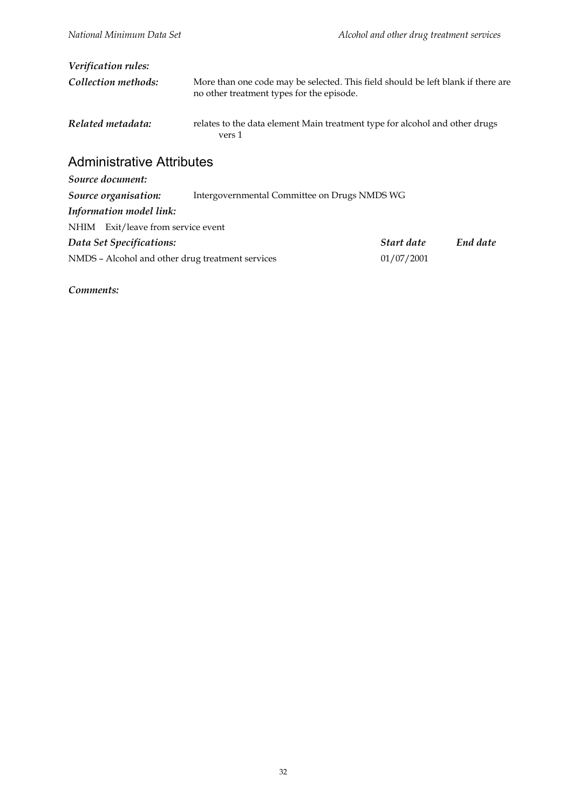| <i>Verification rules:</i>         |                                                                                                                               |
|------------------------------------|-------------------------------------------------------------------------------------------------------------------------------|
|                                    |                                                                                                                               |
| Collection methods:                | More than one code may be selected. This field should be left blank if there are<br>no other treatment types for the episode. |
| Related metadata:                  | relates to the data element Main treatment type for alcohol and other drugs<br>vers 1                                         |
| <b>Administrative Attributes</b>   |                                                                                                                               |
| Source document:                   |                                                                                                                               |
| Source organisation:               | Intergovernmental Committee on Drugs NMDS WG                                                                                  |
| Information model link:            |                                                                                                                               |
| NHIM Exit/leave from service event |                                                                                                                               |

*Data Set Specifications: Start date End date* NMDS – Alcohol and other drug treatment services 01/07/2001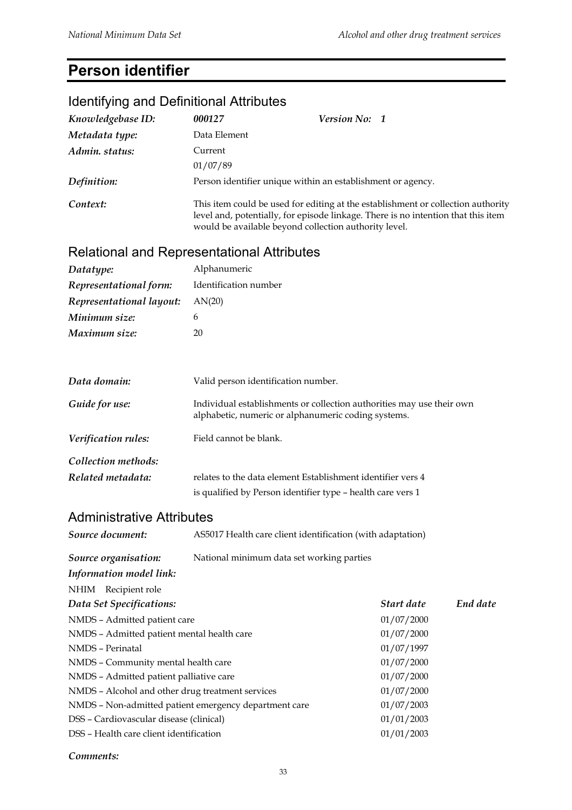## **Person identifier**

## Identifying and Definitional Attributes *Knowledgebase ID: 000127 Version No: 1 Metadata type:* Data Element *Admin. status:* Current 01/07/89 *Definition:* Person identifier unique within an establishment or agency. *Context:* This item could be used for editing at the establishment or collection authority level and, potentially, for episode linkage. There is no intention that this item would be available beyond collection authority level. Relational and Representational Attributes *Datatype:* Alphanumeric *Representational form:* Identification number *Representational layout:* AN(20) *Minimum size:* 6 *Maximum size:* 20 *Data domain:* Valid person identification number. *Guide for use:* Individual establishments or collection authorities may use their own alphabetic, numeric or alphanumeric coding systems. *Verification rules:* Field cannot be blank. *Collection methods: Related metadata:* relates to the data element Establishment identifier vers 4 is qualified by Person identifier type – health care vers 1 Administrative Attributes *Source document:* AS5017 Health care client identification (with adaptation) *Source organisation:* National minimum data set working parties *Information model link:* NHIM Recipient role *Data Set Specifications: Start date End date* NMDS – Admitted patient care 01/07/2000 NMDS – Admitted patient mental health care 01/07/2000 NMDS – Perinatal 01/07/1997 NMDS – Community mental health care 01/07/2000 NMDS – Admitted patient palliative care 01/07/2000 NMDS – Alcohol and other drug treatment services 01/07/2000 NMDS – Non-admitted patient emergency department care 01/07/2003 DSS – Cardiovascular disease (clinical) 01/01/2003 DSS – Health care client identification 01/01/2003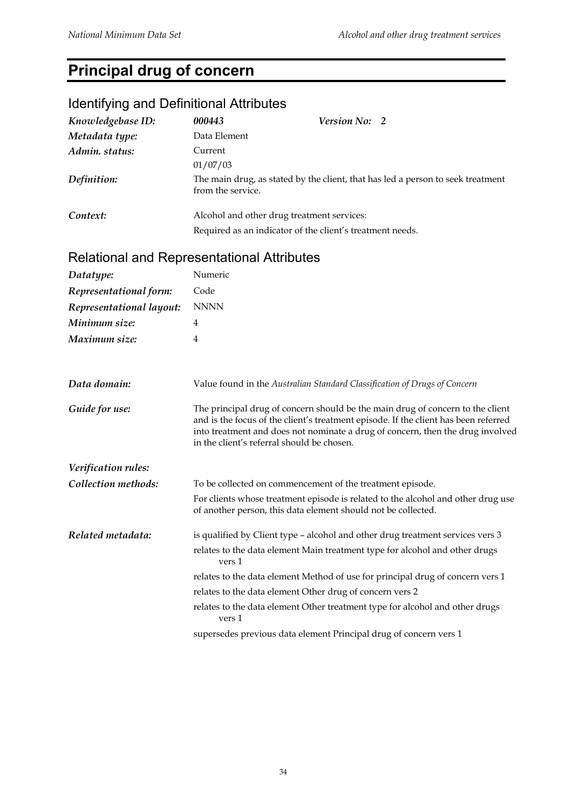## **Principal drug of concern**

## Identifying and Definitional Attributes

| Knowledgebase ID:                                 | 000443            | Version No: 2                                                                                                                                                                                                                                                                                         |
|---------------------------------------------------|-------------------|-------------------------------------------------------------------------------------------------------------------------------------------------------------------------------------------------------------------------------------------------------------------------------------------------------|
| Metadata type:                                    | Data Element      |                                                                                                                                                                                                                                                                                                       |
| Admin. status:                                    | Current           |                                                                                                                                                                                                                                                                                                       |
|                                                   | 01/07/03          |                                                                                                                                                                                                                                                                                                       |
| Definition:                                       | from the service. | The main drug, as stated by the client, that has led a person to seek treatment                                                                                                                                                                                                                       |
| Context:                                          |                   | Alcohol and other drug treatment services:                                                                                                                                                                                                                                                            |
|                                                   |                   | Required as an indicator of the client's treatment needs.                                                                                                                                                                                                                                             |
| <b>Relational and Representational Attributes</b> |                   |                                                                                                                                                                                                                                                                                                       |
| Datatype:                                         | Numeric           |                                                                                                                                                                                                                                                                                                       |
| Representational form:                            | Code              |                                                                                                                                                                                                                                                                                                       |
| Representational layout:                          | <b>NNNN</b>       |                                                                                                                                                                                                                                                                                                       |
| Minimum size:                                     | 4                 |                                                                                                                                                                                                                                                                                                       |
| Maximum size:                                     | 4                 |                                                                                                                                                                                                                                                                                                       |
|                                                   |                   |                                                                                                                                                                                                                                                                                                       |
| Data domain:                                      |                   | Value found in the Australian Standard Classification of Drugs of Concern                                                                                                                                                                                                                             |
| Guide for use:                                    |                   | The principal drug of concern should be the main drug of concern to the client<br>and is the focus of the client's treatment episode. If the client has been referred<br>into treatment and does not nominate a drug of concern, then the drug involved<br>in the client's referral should be chosen. |
| Verification rules:                               |                   |                                                                                                                                                                                                                                                                                                       |
| Collection methods:                               |                   | To be collected on commencement of the treatment episode.                                                                                                                                                                                                                                             |
|                                                   |                   | For clients whose treatment episode is related to the alcohol and other drug use<br>of another person, this data element should not be collected.                                                                                                                                                     |
| Related metadata:                                 |                   | is qualified by Client type - alcohol and other drug treatment services vers 3                                                                                                                                                                                                                        |
|                                                   | vers 1            | relates to the data element Main treatment type for alcohol and other drugs                                                                                                                                                                                                                           |
|                                                   |                   | relates to the data element Method of use for principal drug of concern vers 1                                                                                                                                                                                                                        |
|                                                   |                   | relates to the data element Other drug of concern vers 2                                                                                                                                                                                                                                              |
|                                                   | vers 1            | relates to the data element Other treatment type for alcohol and other drugs                                                                                                                                                                                                                          |
|                                                   |                   | supersedes previous data element Principal drug of concern vers 1                                                                                                                                                                                                                                     |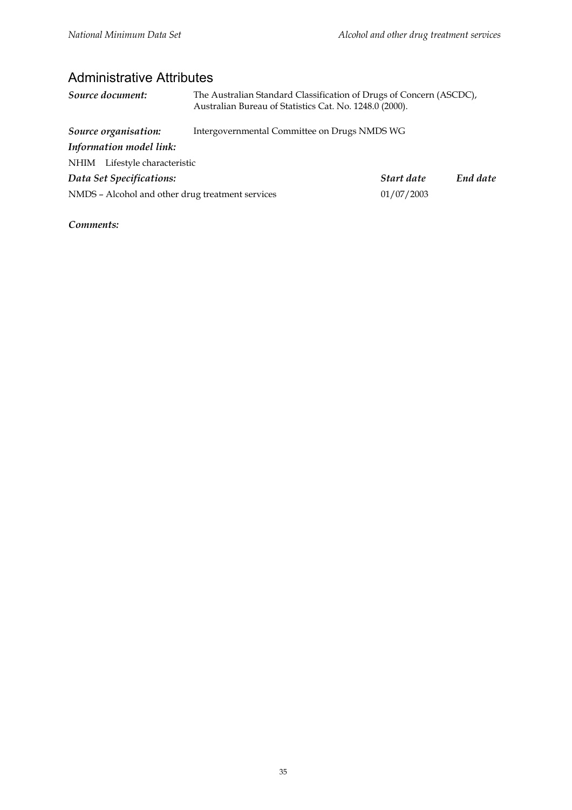#### Administrative Attributes

| Source document:                                 | The Australian Standard Classification of Drugs of Concern (ASCDC),<br>Australian Bureau of Statistics Cat. No. 1248.0 (2000). |            |          |
|--------------------------------------------------|--------------------------------------------------------------------------------------------------------------------------------|------------|----------|
| Source organisation:                             | Intergovernmental Committee on Drugs NMDS WG                                                                                   |            |          |
| Information model link:                          |                                                                                                                                |            |          |
| NHIM Lifestyle characteristic                    |                                                                                                                                |            |          |
| Data Set Specifications:                         |                                                                                                                                | Start date | End date |
| NMDS - Alcohol and other drug treatment services |                                                                                                                                | 01/07/2003 |          |
|                                                  |                                                                                                                                |            |          |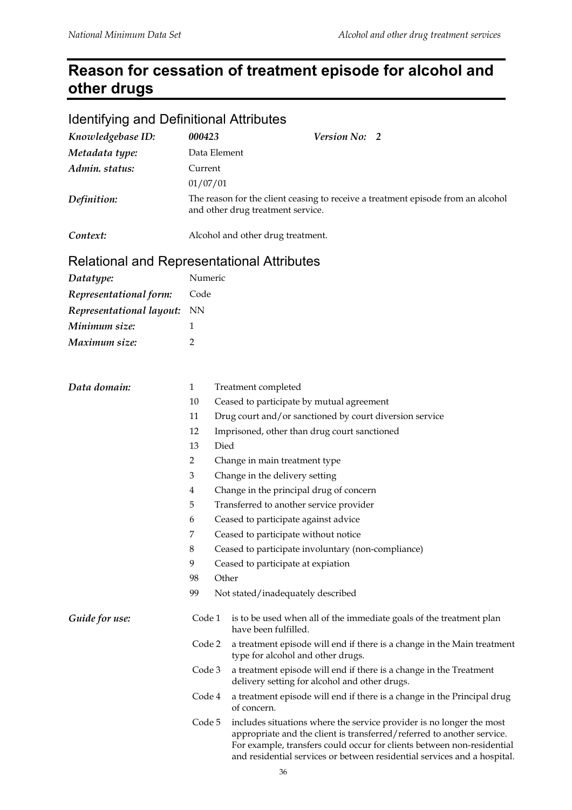## **Reason for cessation of treatment episode for alcohol and other drugs**

| <b>Identifying and Definitional Attributes</b>    |              |          |                                                                                                                                                                                                                                                                                                      |  |  |
|---------------------------------------------------|--------------|----------|------------------------------------------------------------------------------------------------------------------------------------------------------------------------------------------------------------------------------------------------------------------------------------------------------|--|--|
| Knowledgebase ID:                                 | 000423       |          | Version No: 2                                                                                                                                                                                                                                                                                        |  |  |
| Metadata type:                                    | Data Element |          |                                                                                                                                                                                                                                                                                                      |  |  |
| Admin. status:                                    | Current      |          |                                                                                                                                                                                                                                                                                                      |  |  |
|                                                   |              | 01/07/01 |                                                                                                                                                                                                                                                                                                      |  |  |
| Definition:                                       |              |          | The reason for the client ceasing to receive a treatment episode from an alcohol<br>and other drug treatment service.                                                                                                                                                                                |  |  |
| Context:                                          |              |          | Alcohol and other drug treatment.                                                                                                                                                                                                                                                                    |  |  |
| <b>Relational and Representational Attributes</b> |              |          |                                                                                                                                                                                                                                                                                                      |  |  |
| Datatype:                                         | Numeric      |          |                                                                                                                                                                                                                                                                                                      |  |  |
| Representational form:                            | Code         |          |                                                                                                                                                                                                                                                                                                      |  |  |
| Representational layout:                          | <b>NN</b>    |          |                                                                                                                                                                                                                                                                                                      |  |  |
| Minimum size:                                     | 1            |          |                                                                                                                                                                                                                                                                                                      |  |  |
| Maximum size:                                     | 2            |          |                                                                                                                                                                                                                                                                                                      |  |  |
|                                                   |              |          |                                                                                                                                                                                                                                                                                                      |  |  |
| Data domain:                                      | $\mathbf{1}$ |          | Treatment completed                                                                                                                                                                                                                                                                                  |  |  |
|                                                   | 10           |          | Ceased to participate by mutual agreement                                                                                                                                                                                                                                                            |  |  |
|                                                   | 11           |          | Drug court and/or sanctioned by court diversion service                                                                                                                                                                                                                                              |  |  |
|                                                   | 12           |          | Imprisoned, other than drug court sanctioned                                                                                                                                                                                                                                                         |  |  |
|                                                   | 13           | Died     |                                                                                                                                                                                                                                                                                                      |  |  |
|                                                   | 2            |          | Change in main treatment type                                                                                                                                                                                                                                                                        |  |  |
|                                                   | 3            |          | Change in the delivery setting                                                                                                                                                                                                                                                                       |  |  |
|                                                   | 4            |          | Change in the principal drug of concern                                                                                                                                                                                                                                                              |  |  |
|                                                   | 5            |          | Transferred to another service provider                                                                                                                                                                                                                                                              |  |  |
|                                                   | 6            |          | Ceased to participate against advice                                                                                                                                                                                                                                                                 |  |  |
|                                                   | 7            |          | Ceased to participate without notice                                                                                                                                                                                                                                                                 |  |  |
|                                                   | $\,8\,$      |          | Ceased to participate involuntary (non-compliance)                                                                                                                                                                                                                                                   |  |  |
|                                                   | 9            |          | Ceased to participate at expiation                                                                                                                                                                                                                                                                   |  |  |
|                                                   | 98           | Other    |                                                                                                                                                                                                                                                                                                      |  |  |
|                                                   | 99           |          | Not stated/inadequately described                                                                                                                                                                                                                                                                    |  |  |
| Guide for use:                                    | Code 1       |          | is to be used when all of the immediate goals of the treatment plan<br>have been fulfilled.                                                                                                                                                                                                          |  |  |
|                                                   | Code 2       |          | a treatment episode will end if there is a change in the Main treatment<br>type for alcohol and other drugs.                                                                                                                                                                                         |  |  |
|                                                   | Code 3       |          | a treatment episode will end if there is a change in the Treatment<br>delivery setting for alcohol and other drugs.                                                                                                                                                                                  |  |  |
|                                                   | Code 4       |          | a treatment episode will end if there is a change in the Principal drug<br>of concern.                                                                                                                                                                                                               |  |  |
|                                                   | Code 5       |          | includes situations where the service provider is no longer the most<br>appropriate and the client is transferred/referred to another service.<br>For example, transfers could occur for clients between non-residential<br>and residential services or between residential services and a hospital. |  |  |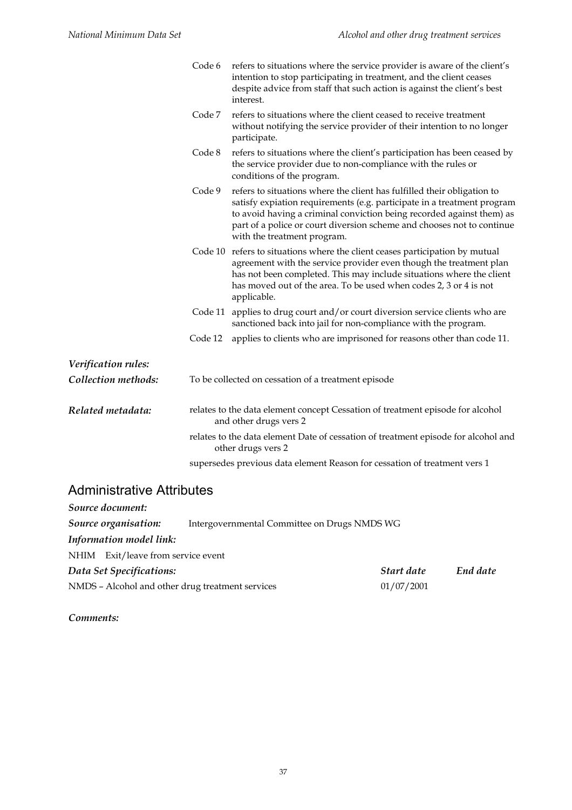|                                            | Code 6  | refers to situations where the service provider is aware of the client's<br>intention to stop participating in treatment, and the client ceases<br>despite advice from staff that such action is against the client's best<br>interest.                                                                                              |
|--------------------------------------------|---------|--------------------------------------------------------------------------------------------------------------------------------------------------------------------------------------------------------------------------------------------------------------------------------------------------------------------------------------|
|                                            | Code 7  | refers to situations where the client ceased to receive treatment<br>without notifying the service provider of their intention to no longer<br>participate.                                                                                                                                                                          |
|                                            | Code 8  | refers to situations where the client's participation has been ceased by<br>the service provider due to non-compliance with the rules or<br>conditions of the program.                                                                                                                                                               |
|                                            | Code 9  | refers to situations where the client has fulfilled their obligation to<br>satisfy expiation requirements (e.g. participate in a treatment program<br>to avoid having a criminal conviction being recorded against them) as<br>part of a police or court diversion scheme and chooses not to continue<br>with the treatment program. |
|                                            |         | Code 10 refers to situations where the client ceases participation by mutual<br>agreement with the service provider even though the treatment plan<br>has not been completed. This may include situations where the client<br>has moved out of the area. To be used when codes 2, 3 or 4 is not<br>applicable.                       |
|                                            |         | Code 11 applies to drug court and/or court diversion service clients who are<br>sanctioned back into jail for non-compliance with the program.                                                                                                                                                                                       |
|                                            | Code 12 | applies to clients who are imprisoned for reasons other than code 11.                                                                                                                                                                                                                                                                |
| Verification rules:<br>Collection methods: |         | To be collected on cessation of a treatment episode                                                                                                                                                                                                                                                                                  |
| Related metadata:                          |         | relates to the data element concept Cessation of treatment episode for alcohol<br>and other drugs vers 2                                                                                                                                                                                                                             |
|                                            |         | relates to the data element Date of cessation of treatment episode for alcohol and<br>other drugs vers 2                                                                                                                                                                                                                             |
|                                            |         | supersedes previous data element Reason for cessation of treatment vers 1                                                                                                                                                                                                                                                            |

#### Administrative Attributes

| Source document:                                 |                                              |            |          |
|--------------------------------------------------|----------------------------------------------|------------|----------|
| Source organisation:                             | Intergovernmental Committee on Drugs NMDS WG |            |          |
| Information model link:                          |                                              |            |          |
| NHIM Exit/leave from service event               |                                              |            |          |
| Data Set Specifications:                         |                                              | Start date | End date |
| NMDS - Alcohol and other drug treatment services |                                              | 01/07/2001 |          |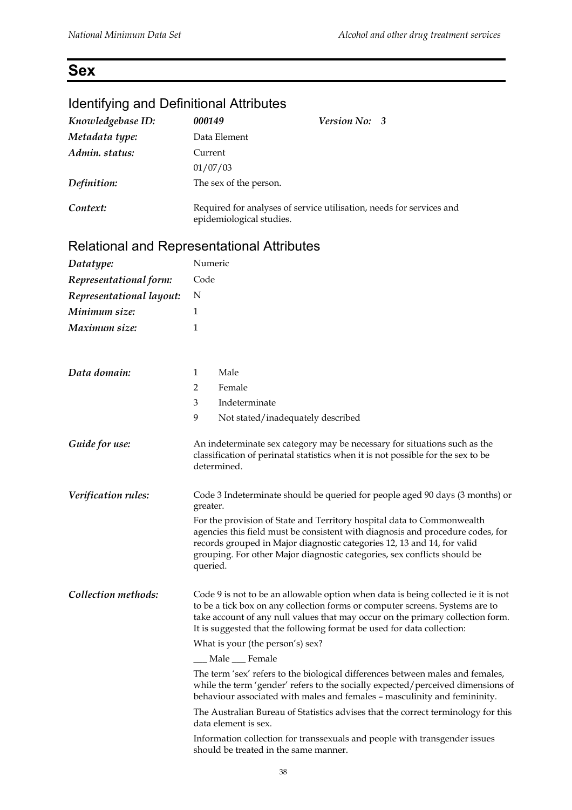## **Sex**

## Identifying and Definitional Attributes

| Knowledgebase ID:        | 000149                                            | <b>Version No: 3</b>                                                 |
|--------------------------|---------------------------------------------------|----------------------------------------------------------------------|
| Metadata type:           | Data Element                                      |                                                                      |
| Admin. status:           | Current                                           |                                                                      |
|                          | 01/07/03                                          |                                                                      |
| Definition:              | The sex of the person.                            |                                                                      |
| Context:                 | epidemiological studies.                          | Required for analyses of service utilisation, needs for services and |
|                          | <b>Relational and Representational Attributes</b> |                                                                      |
| Datatype:                | Numeric                                           |                                                                      |
| Representational form:   | Code                                              |                                                                      |
| Representational layout: | N                                                 |                                                                      |
| Minimum size:            | 1                                                 |                                                                      |
| Maximum size:            | 1                                                 |                                                                      |
|                          |                                                   |                                                                      |
|                          |                                                   |                                                                      |

| Datatype:                | Numeric                                                                                                                                                                                                                                                                                                                       |  |  |
|--------------------------|-------------------------------------------------------------------------------------------------------------------------------------------------------------------------------------------------------------------------------------------------------------------------------------------------------------------------------|--|--|
| Representational form:   | Code                                                                                                                                                                                                                                                                                                                          |  |  |
| Representational layout: | N                                                                                                                                                                                                                                                                                                                             |  |  |
| Minimum size:            | 1                                                                                                                                                                                                                                                                                                                             |  |  |
| Maximum size:            | 1                                                                                                                                                                                                                                                                                                                             |  |  |
|                          |                                                                                                                                                                                                                                                                                                                               |  |  |
| Data domain:             | Male<br>1                                                                                                                                                                                                                                                                                                                     |  |  |
|                          | $\overline{2}$<br>Female                                                                                                                                                                                                                                                                                                      |  |  |
|                          | 3<br>Indeterminate                                                                                                                                                                                                                                                                                                            |  |  |
|                          | 9<br>Not stated/inadequately described                                                                                                                                                                                                                                                                                        |  |  |
| Guide for use:           | An indeterminate sex category may be necessary for situations such as the<br>classification of perinatal statistics when it is not possible for the sex to be<br>determined.                                                                                                                                                  |  |  |
| Verification rules:      | Code 3 Indeterminate should be queried for people aged 90 days (3 months) or<br>greater.                                                                                                                                                                                                                                      |  |  |
|                          | For the provision of State and Territory hospital data to Commonwealth<br>agencies this field must be consistent with diagnosis and procedure codes, for<br>records grouped in Major diagnostic categories 12, 13 and 14, for valid<br>grouping. For other Major diagnostic categories, sex conflicts should be<br>queried.   |  |  |
| Collection methods:      | Code 9 is not to be an allowable option when data is being collected ie it is not<br>to be a tick box on any collection forms or computer screens. Systems are to<br>take account of any null values that may occur on the primary collection form.<br>It is suggested that the following format be used for data collection: |  |  |
|                          | What is your (the person's) sex?                                                                                                                                                                                                                                                                                              |  |  |
|                          | __ Male __ Female                                                                                                                                                                                                                                                                                                             |  |  |
|                          | The term 'sex' refers to the biological differences between males and females,<br>while the term 'gender' refers to the socially expected/perceived dimensions of<br>behaviour associated with males and females - masculinity and femininity.                                                                                |  |  |
|                          | The Australian Bureau of Statistics advises that the correct terminology for this<br>data element is sex.                                                                                                                                                                                                                     |  |  |
|                          | Information collection for transsexuals and people with transgender issues<br>should be treated in the same manner.                                                                                                                                                                                                           |  |  |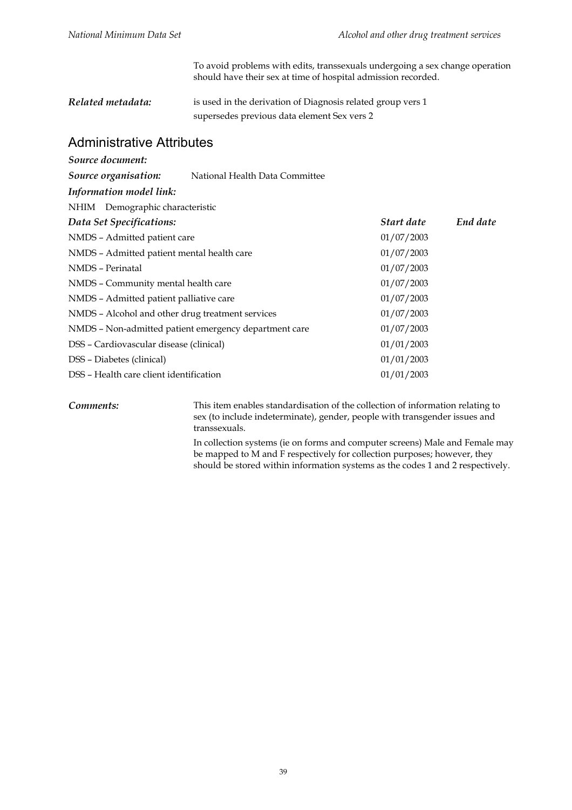To avoid problems with edits, transsexuals undergoing a sex change operation should have their sex at time of hospital admission recorded.

| Related metadata: | is used in the derivation of Diagnosis related group vers 1 |
|-------------------|-------------------------------------------------------------|
|                   | supersedes previous data element Sex vers 2                 |

#### Administrative Attributes

| Source document:                                 |                                                       |            |          |
|--------------------------------------------------|-------------------------------------------------------|------------|----------|
| Source organisation:                             | National Health Data Committee                        |            |          |
| Information model link:                          |                                                       |            |          |
| NHIM Demographic characteristic                  |                                                       |            |          |
| Data Set Specifications:                         |                                                       | Start date | End date |
| NMDS - Admitted patient care                     |                                                       | 01/07/2003 |          |
| NMDS - Admitted patient mental health care       |                                                       | 01/07/2003 |          |
| NMDS - Perinatal                                 |                                                       | 01/07/2003 |          |
| NMDS - Community mental health care              |                                                       | 01/07/2003 |          |
| NMDS – Admitted patient palliative care          |                                                       | 01/07/2003 |          |
| NMDS - Alcohol and other drug treatment services |                                                       | 01/07/2003 |          |
|                                                  | NMDS - Non-admitted patient emergency department care | 01/07/2003 |          |
| DSS - Cardiovascular disease (clinical)          |                                                       | 01/01/2003 |          |
| DSS - Diabetes (clinical)                        |                                                       | 01/01/2003 |          |
| DSS – Health care client identification          |                                                       | 01/01/2003 |          |
|                                                  |                                                       |            |          |

*Comments:* This item enables standardisation of the collection of information relating to sex (to include indeterminate), gender, people with transgender issues and transsexuals.

> In collection systems (ie on forms and computer screens) Male and Female may be mapped to M and F respectively for collection purposes; however, they should be stored within information systems as the codes 1 and 2 respectively.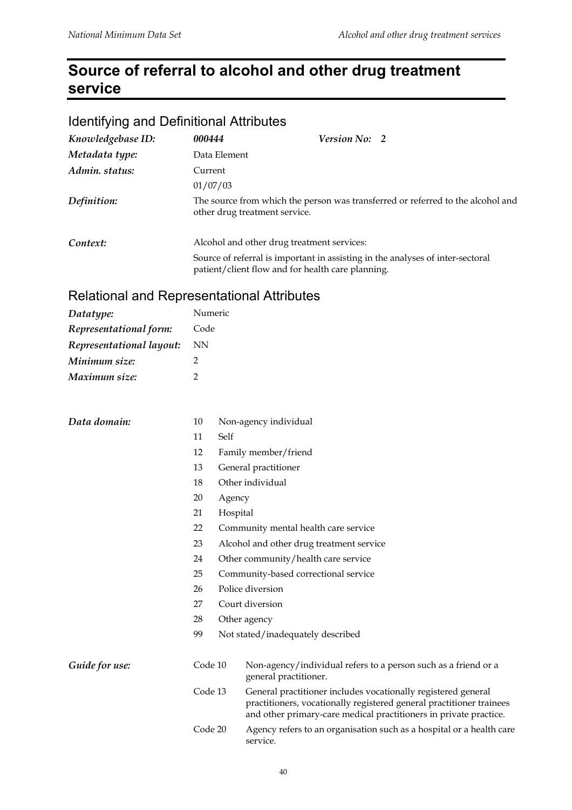## **Source of referral to alcohol and other drug treatment service**

## Identifying and Definitional Attributes

| Knowledgebase ID: | 000444                                     | Version No: 2                                                                                                                       |  |
|-------------------|--------------------------------------------|-------------------------------------------------------------------------------------------------------------------------------------|--|
| Metadata type:    | Data Element                               |                                                                                                                                     |  |
| Admin. status:    | Current                                    |                                                                                                                                     |  |
|                   | 01/07/03                                   |                                                                                                                                     |  |
| Definition:       | other drug treatment service.              | The source from which the person was transferred or referred to the alcohol and                                                     |  |
| Context:          | Alcohol and other drug treatment services: |                                                                                                                                     |  |
|                   |                                            | Source of referral is important in assisting in the analyses of inter-sectoral<br>patient/client flow and for health care planning. |  |

## Relational and Representational Attributes

| Datatype:                | Numeric        |          |                                                                                                                                                                                                            |
|--------------------------|----------------|----------|------------------------------------------------------------------------------------------------------------------------------------------------------------------------------------------------------------|
| Representational form:   | Code           |          |                                                                                                                                                                                                            |
| Representational layout: | NN             |          |                                                                                                                                                                                                            |
| Minimum size:            | $\overline{2}$ |          |                                                                                                                                                                                                            |
| Maximum size:            | $\overline{2}$ |          |                                                                                                                                                                                                            |
| Data domain:             | 10             |          | Non-agency individual                                                                                                                                                                                      |
|                          | 11             | Self     |                                                                                                                                                                                                            |
|                          | 12             |          | Family member/friend                                                                                                                                                                                       |
|                          | 13             |          | General practitioner                                                                                                                                                                                       |
|                          | 18             |          | Other individual                                                                                                                                                                                           |
|                          | 20             | Agency   |                                                                                                                                                                                                            |
|                          | 21             | Hospital |                                                                                                                                                                                                            |
|                          | 22             |          | Community mental health care service                                                                                                                                                                       |
|                          | 23             |          | Alcohol and other drug treatment service                                                                                                                                                                   |
|                          | 24             |          | Other community/health care service                                                                                                                                                                        |
|                          | 25             |          | Community-based correctional service                                                                                                                                                                       |
|                          | 26             |          | Police diversion                                                                                                                                                                                           |
|                          | 27             |          | Court diversion                                                                                                                                                                                            |
|                          | 28             |          | Other agency                                                                                                                                                                                               |
|                          | 99             |          | Not stated/inadequately described                                                                                                                                                                          |
| Guide for use:           | Code 10        |          | Non-agency/individual refers to a person such as a friend or a<br>general practitioner.                                                                                                                    |
|                          | Code 13        |          | General practitioner includes vocationally registered general<br>practitioners, vocationally registered general practitioner trainees<br>and other primary-care medical practitioners in private practice. |
|                          | Code 20        |          | Agency refers to an organisation such as a hospital or a health care<br>service.                                                                                                                           |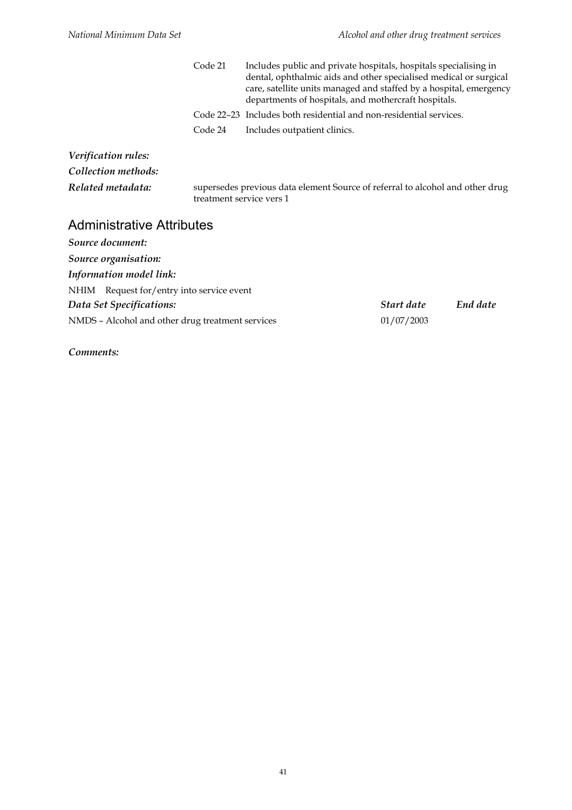|                     | Code 21 | Includes public and private hospitals, hospitals specialising in<br>dental, ophthalmic aids and other specialised medical or surgical<br>care, satellite units managed and staffed by a hospital, emergency<br>departments of hospitals, and mothercraft hospitals. |
|---------------------|---------|---------------------------------------------------------------------------------------------------------------------------------------------------------------------------------------------------------------------------------------------------------------------|
|                     |         | Code 22–23 Includes both residential and non-residential services.                                                                                                                                                                                                  |
|                     | Code 24 | Includes outpatient clinics.                                                                                                                                                                                                                                        |
| Verification rules: |         |                                                                                                                                                                                                                                                                     |

*Collection methods:*

*Related metadata:* supersedes previous data element Source of referral to alcohol and other drug treatment service vers 1

#### Administrative Attributes

| Source document:                                 |            |          |
|--------------------------------------------------|------------|----------|
| Source organisation:                             |            |          |
| Information model link:                          |            |          |
| NHIM Request for/entry into service event        |            |          |
| Data Set Specifications:                         | Start date | End date |
| NMDS - Alcohol and other drug treatment services | 01/07/2003 |          |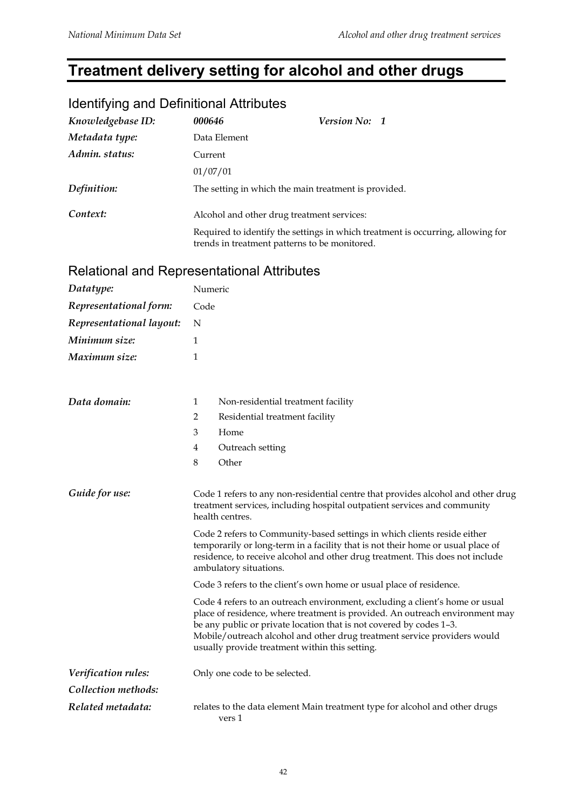## **Treatment delivery setting for alcohol and other drugs**

## Identifying and Definitional Attributes

| Knowledgebase ID: | 000646                                        | Version No: 1                                                                   |
|-------------------|-----------------------------------------------|---------------------------------------------------------------------------------|
| Metadata type:    | Data Element                                  |                                                                                 |
| Admin. status:    | Current                                       |                                                                                 |
|                   | 01/07/01                                      |                                                                                 |
| Definition:       |                                               | The setting in which the main treatment is provided.                            |
| Context:          | Alcohol and other drug treatment services:    |                                                                                 |
|                   | trends in treatment patterns to be monitored. | Required to identify the settings in which treatment is occurring, allowing for |

## Relational and Representational Attributes

| Datatype:                | Numeric                                                                                                                                                                                                                                                                                                                                                           |  |
|--------------------------|-------------------------------------------------------------------------------------------------------------------------------------------------------------------------------------------------------------------------------------------------------------------------------------------------------------------------------------------------------------------|--|
| Representational form:   | Code                                                                                                                                                                                                                                                                                                                                                              |  |
| Representational layout: | N                                                                                                                                                                                                                                                                                                                                                                 |  |
| Minimum size:            | 1                                                                                                                                                                                                                                                                                                                                                                 |  |
| Maximum size:            | 1                                                                                                                                                                                                                                                                                                                                                                 |  |
|                          |                                                                                                                                                                                                                                                                                                                                                                   |  |
| Data domain:             | 1<br>Non-residential treatment facility                                                                                                                                                                                                                                                                                                                           |  |
|                          | $\overline{2}$<br>Residential treatment facility                                                                                                                                                                                                                                                                                                                  |  |
|                          | 3<br>Home                                                                                                                                                                                                                                                                                                                                                         |  |
|                          | $\overline{4}$<br>Outreach setting                                                                                                                                                                                                                                                                                                                                |  |
|                          | 8<br>Other                                                                                                                                                                                                                                                                                                                                                        |  |
| Guide for use:           | Code 1 refers to any non-residential centre that provides alcohol and other drug<br>treatment services, including hospital outpatient services and community<br>health centres.                                                                                                                                                                                   |  |
|                          | Code 2 refers to Community-based settings in which clients reside either<br>temporarily or long-term in a facility that is not their home or usual place of<br>residence, to receive alcohol and other drug treatment. This does not include<br>ambulatory situations.                                                                                            |  |
|                          | Code 3 refers to the client's own home or usual place of residence.                                                                                                                                                                                                                                                                                               |  |
|                          | Code 4 refers to an outreach environment, excluding a client's home or usual<br>place of residence, where treatment is provided. An outreach environment may<br>be any public or private location that is not covered by codes 1-3.<br>Mobile/outreach alcohol and other drug treatment service providers would<br>usually provide treatment within this setting. |  |
| Verification rules:      | Only one code to be selected.                                                                                                                                                                                                                                                                                                                                     |  |
| Collection methods:      |                                                                                                                                                                                                                                                                                                                                                                   |  |
| Related metadata:        | relates to the data element Main treatment type for alcohol and other drugs<br>vers 1                                                                                                                                                                                                                                                                             |  |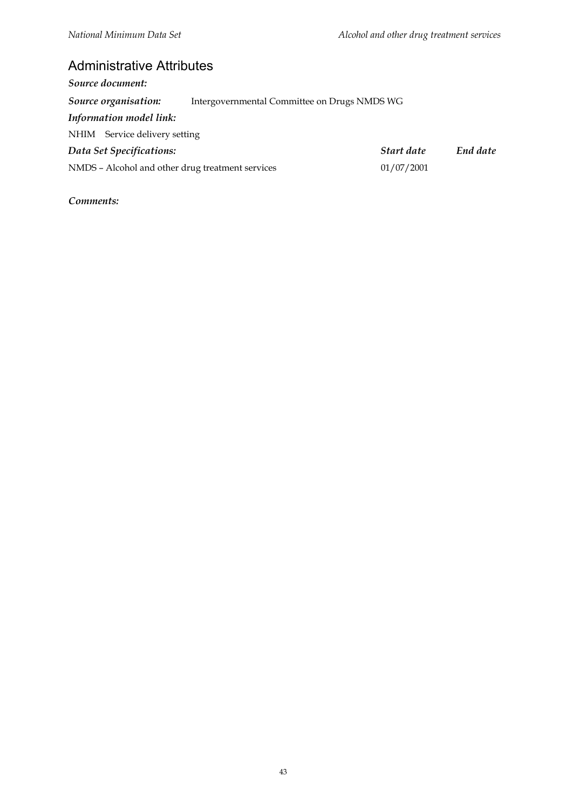## Administrative Attributes

| Source document:                                 |                                              |            |          |
|--------------------------------------------------|----------------------------------------------|------------|----------|
| Source organisation:                             | Intergovernmental Committee on Drugs NMDS WG |            |          |
| Information model link:                          |                                              |            |          |
| NHIM Service delivery setting                    |                                              |            |          |
| Data Set Specifications:                         |                                              | Start date | End date |
| NMDS - Alcohol and other drug treatment services |                                              | 01/07/2001 |          |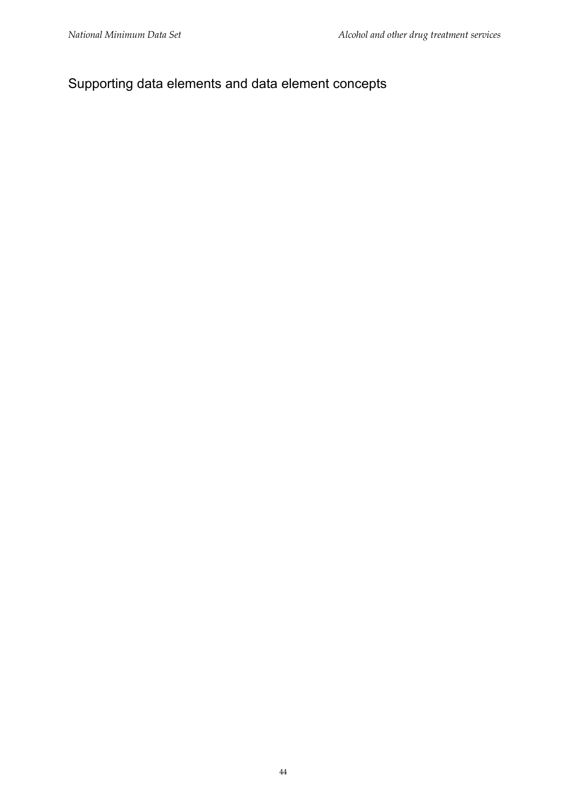## Supporting data elements and data element concepts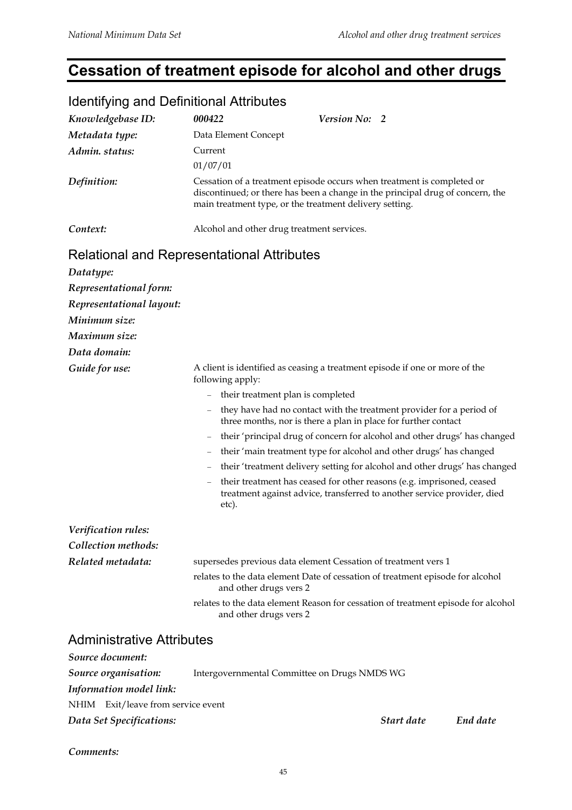## **Cessation of treatment episode for alcohol and other drugs**

| <b>Identifying and Definitional Attributes</b> |                                                                                                                                                                                                                     |
|------------------------------------------------|---------------------------------------------------------------------------------------------------------------------------------------------------------------------------------------------------------------------|
| Knowledgebase ID:                              | 000422<br>Version No: 2                                                                                                                                                                                             |
| Metadata type:                                 | Data Element Concept                                                                                                                                                                                                |
| Admin. status:                                 | Current                                                                                                                                                                                                             |
|                                                | 01/07/01                                                                                                                                                                                                            |
| Definition:                                    | Cessation of a treatment episode occurs when treatment is completed or<br>discontinued; or there has been a change in the principal drug of concern, the<br>main treatment type, or the treatment delivery setting. |
| Context:                                       | Alcohol and other drug treatment services.                                                                                                                                                                          |
|                                                | <b>Relational and Representational Attributes</b>                                                                                                                                                                   |
| Datatype:                                      |                                                                                                                                                                                                                     |
| Representational form:                         |                                                                                                                                                                                                                     |
| Representational layout:                       |                                                                                                                                                                                                                     |
| Minimum size:                                  |                                                                                                                                                                                                                     |
| Maximum size:                                  |                                                                                                                                                                                                                     |
| Data domain:                                   |                                                                                                                                                                                                                     |
| Guide for use:                                 | A client is identified as ceasing a treatment episode if one or more of the<br>following apply:                                                                                                                     |
|                                                | their treatment plan is completed<br>$\frac{1}{2}$                                                                                                                                                                  |
|                                                | they have had no contact with the treatment provider for a period of<br>three months, nor is there a plan in place for further contact                                                                              |
|                                                | their 'principal drug of concern for alcohol and other drugs' has changed<br>$\equiv$                                                                                                                               |
|                                                | their 'main treatment type for alcohol and other drugs' has changed<br>$\hspace{1.0cm} - \hspace{1.0cm}$                                                                                                            |
|                                                | their 'treatment delivery setting for alcohol and other drugs' has changed                                                                                                                                          |
|                                                | their treatment has ceased for other reasons (e.g. imprisoned, ceased<br>$\equiv$<br>treatment against advice, transferred to another service provider, died<br>etc).                                               |
| Verification rules:                            |                                                                                                                                                                                                                     |
| Collection methods:                            |                                                                                                                                                                                                                     |
| Related metadata:                              | supersedes previous data element Cessation of treatment vers 1                                                                                                                                                      |
|                                                | relates to the data element Date of cessation of treatment episode for alcohol<br>and other drugs vers 2                                                                                                            |
|                                                | relates to the data element Reason for cessation of treatment episode for alcohol<br>and other drugs vers 2                                                                                                         |
| <b>Administrative Attributes</b>               |                                                                                                                                                                                                                     |
| Source document:                               |                                                                                                                                                                                                                     |
| Source organisation:                           | Intergovernmental Committee on Drugs NMDS WG                                                                                                                                                                        |
| <b>Information model link:</b>                 |                                                                                                                                                                                                                     |
| NHIM Exit/leave from service event             |                                                                                                                                                                                                                     |

#### Identifying and Definitional Attributes

*Comments:*

*Data Set Specifications: Start date End date*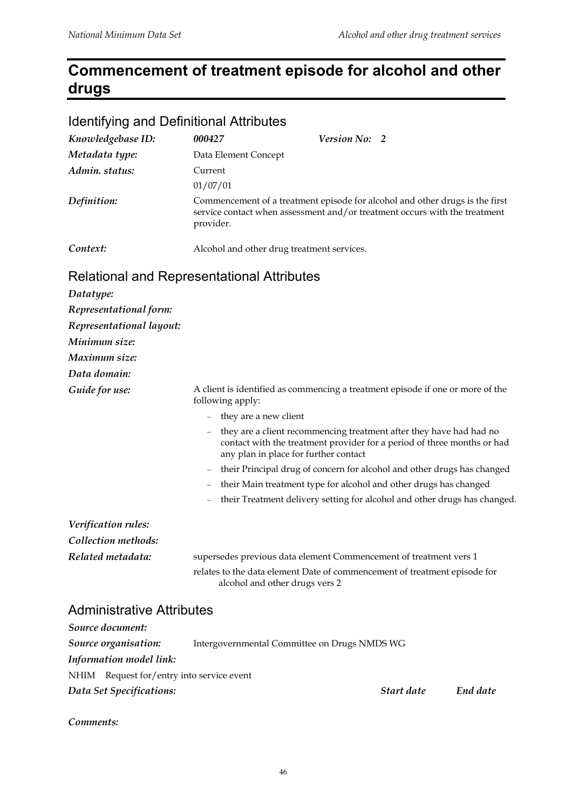## **Commencement of treatment episode for alcohol and other drugs**

#### Identifying and Definitional Attributes

| Knowledgebase ID: | 000427                                     | <i>Version No:</i> 2                                                                                                                                       |
|-------------------|--------------------------------------------|------------------------------------------------------------------------------------------------------------------------------------------------------------|
| Metadata type:    | Data Element Concept                       |                                                                                                                                                            |
| Admin. status:    | Current                                    |                                                                                                                                                            |
|                   | 01/07/01                                   |                                                                                                                                                            |
| Definition:       | provider.                                  | Commencement of a treatment episode for alcohol and other drugs is the first<br>service contact when assessment and/or treatment occurs with the treatment |
| Context:          | Alcohol and other drug treatment services. |                                                                                                                                                            |

## Relational and Representational Attributes

| Datatype:                |                                                                                                                                                                                                                     |
|--------------------------|---------------------------------------------------------------------------------------------------------------------------------------------------------------------------------------------------------------------|
| Representational form:   |                                                                                                                                                                                                                     |
| Representational layout: |                                                                                                                                                                                                                     |
| Minimum size:            |                                                                                                                                                                                                                     |
| Maximum size:            |                                                                                                                                                                                                                     |
| Data domain:             |                                                                                                                                                                                                                     |
| Guide for use:           | A client is identified as commencing a treatment episode if one or more of the<br>following apply:                                                                                                                  |
|                          | they are a new client                                                                                                                                                                                               |
|                          | they are a client recommencing treatment after they have had had no<br>$\overline{\phantom{m}}$<br>contact with the treatment provider for a period of three months or had<br>any plan in place for further contact |
|                          | their Principal drug of concern for alcohol and other drugs has changed                                                                                                                                             |
|                          | their Main treatment type for alcohol and other drugs has changed                                                                                                                                                   |
|                          | their Treatment delivery setting for alcohol and other drugs has changed.                                                                                                                                           |
| Verification rules:      |                                                                                                                                                                                                                     |
| Collection methods:      |                                                                                                                                                                                                                     |
| Related metadata:        | supersedes previous data element Commencement of treatment vers 1                                                                                                                                                   |
|                          | relates to the data element Date of commencement of treatment episode for<br>alcohol and other drugs vers 2                                                                                                         |
|                          |                                                                                                                                                                                                                     |

#### Administrative Attributes

| Source document:                          |                                              |            |          |
|-------------------------------------------|----------------------------------------------|------------|----------|
| Source organisation:                      | Intergovernmental Committee on Drugs NMDS WG |            |          |
| <b>Information model link:</b>            |                                              |            |          |
| NHIM Request for/entry into service event |                                              |            |          |
| Data Set Specifications:                  |                                              | Start date | End date |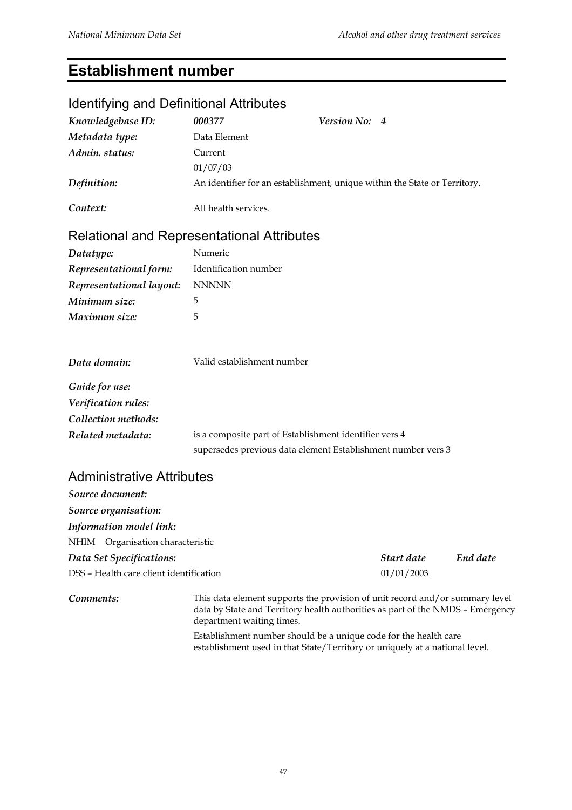## **Establishment number**

## Identifying and Definitional Attributes

| Knowledgebase ID:        | 000377                                                 | Version No: 4                                                             |
|--------------------------|--------------------------------------------------------|---------------------------------------------------------------------------|
| Metadata type:           | Data Element                                           |                                                                           |
| Admin. status:           | Current                                                |                                                                           |
|                          | 01/07/03                                               |                                                                           |
| Definition:              |                                                        | An identifier for an establishment, unique within the State or Territory. |
| Context:                 | All health services.                                   |                                                                           |
|                          | <b>Relational and Representational Attributes</b>      |                                                                           |
| Datatype:                | Numeric                                                |                                                                           |
| Representational form:   | Identification number                                  |                                                                           |
| Representational layout: | <b>NNNNN</b>                                           |                                                                           |
| Minimum size:            | 5                                                      |                                                                           |
| Maximum size:            | 5                                                      |                                                                           |
| Data domain:             | Valid establishment number                             |                                                                           |
| Guide for use:           |                                                        |                                                                           |
| Verification rules:      |                                                        |                                                                           |
| Collection methods:      |                                                        |                                                                           |
| Related metadata:        | is a composite part of Establishment identifier vers 4 |                                                                           |
|                          |                                                        | supersedes previous data element Establishment number vers 3              |

#### Administrative Attributes

| Source document:                        |                                                                             |          |
|-----------------------------------------|-----------------------------------------------------------------------------|----------|
| Source organisation:                    |                                                                             |          |
| <b>Information model link:</b>          |                                                                             |          |
| NHIM Organisation characteristic        |                                                                             |          |
| Data Set Specifications:                | Start date                                                                  | End date |
| DSS - Health care client identification | 01/01/2003                                                                  |          |
|                                         | This data element currents the previous of unit record and (or cummony leve |          |

**Comments:** This data element supports the provision of unit record and/or summary level data by State and Territory health authorities as part of the NMDS – Emergency department waiting times.

> Establishment number should be a unique code for the health care establishment used in that State/Territory or uniquely at a national level.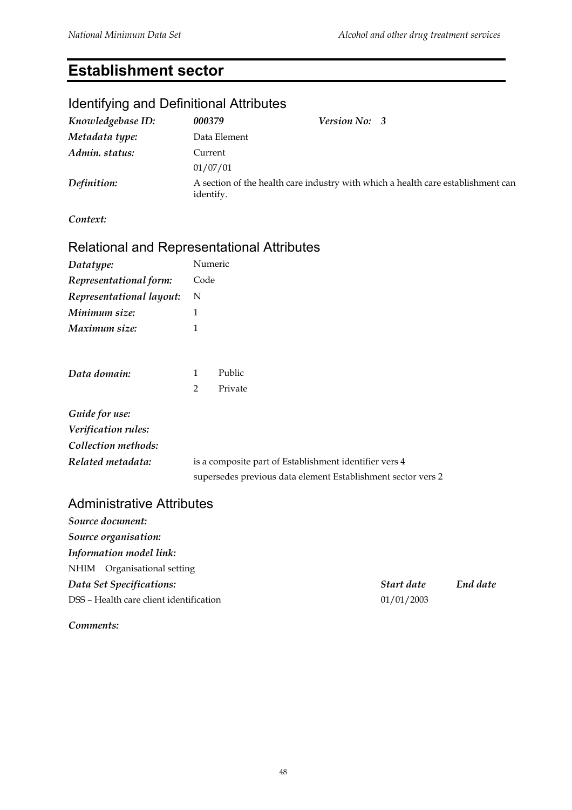## **Establishment sector**

## Identifying and Definitional Attributes

| Knowledgebase ID: | 000379       | <b>Version No: 3</b>                                                             |  |
|-------------------|--------------|----------------------------------------------------------------------------------|--|
| Metadata type:    | Data Element |                                                                                  |  |
| Admin. status:    | Current      |                                                                                  |  |
|                   | 01/07/01     |                                                                                  |  |
| Definition:       | identify.    | A section of the health care industry with which a health care establishment can |  |

*Context:*

#### Relational and Representational Attributes

| Datatype:                | Numeric |
|--------------------------|---------|
| Representational form:   | Code    |
| Representational layout: | N       |
| Minimum size:            | 1       |
| Maximum size:            |         |

| Data domain:               | $\mathbf{1}$ | Public  |  |
|----------------------------|--------------|---------|--|
|                            | $2^{\circ}$  | Private |  |
| Guide for use:             |              |         |  |
| <b>Verification rules:</b> |              |         |  |
| C.1111111                  |              |         |  |

*Collection methods: Related metadata:* is a composite part of Establishment identifier vers 4 supersedes previous data element Establishment sector vers 2

#### Administrative Attributes

| End date |
|----------|
|          |
|          |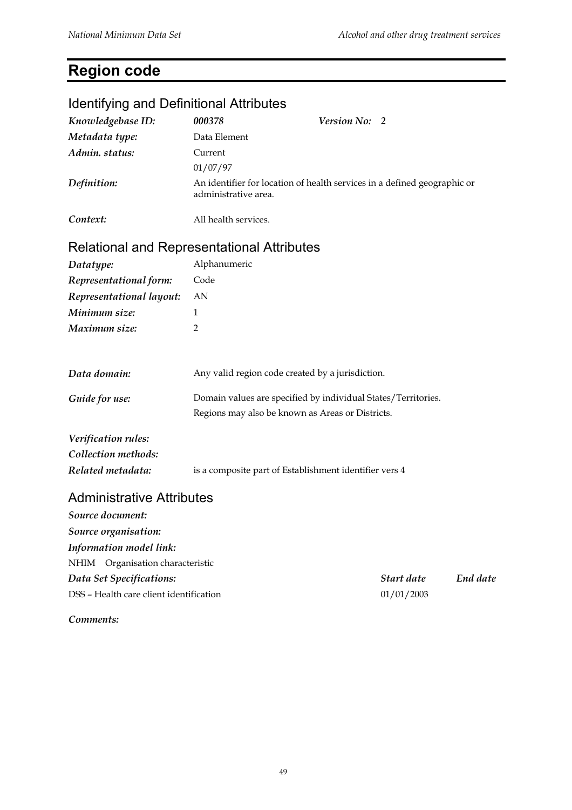## **Region code**

| <b>Identifying and Definitional Attributes</b>        |                                                               |                                                                          |          |  |
|-------------------------------------------------------|---------------------------------------------------------------|--------------------------------------------------------------------------|----------|--|
| Knowledgebase ID:                                     | 000378                                                        | Version No: 2                                                            |          |  |
| Metadata type:                                        | Data Element                                                  |                                                                          |          |  |
| Admin. status:                                        | Current                                                       |                                                                          |          |  |
|                                                       | 01/07/97                                                      |                                                                          |          |  |
| Definition:                                           | administrative area.                                          | An identifier for location of health services in a defined geographic or |          |  |
| Context:                                              | All health services.                                          |                                                                          |          |  |
| <b>Relational and Representational Attributes</b>     |                                                               |                                                                          |          |  |
| Datatype:                                             | Alphanumeric                                                  |                                                                          |          |  |
| Representational form:                                | Code                                                          |                                                                          |          |  |
| Representational layout:                              | AN                                                            |                                                                          |          |  |
| Minimum size:                                         | 1                                                             |                                                                          |          |  |
| Maximum size:                                         | 2                                                             |                                                                          |          |  |
| Data domain:                                          |                                                               | Any valid region code created by a jurisdiction.                         |          |  |
| Guide for use:                                        | Domain values are specified by individual States/Territories. |                                                                          |          |  |
|                                                       | Regions may also be known as Areas or Districts.              |                                                                          |          |  |
| Verification rules:                                   |                                                               |                                                                          |          |  |
| Collection methods:                                   |                                                               |                                                                          |          |  |
| Related metadata:                                     |                                                               | is a composite part of Establishment identifier vers 4                   |          |  |
| <b>Administrative Attributes</b>                      |                                                               |                                                                          |          |  |
| Source document:                                      |                                                               |                                                                          |          |  |
| Source organisation:                                  |                                                               |                                                                          |          |  |
| Information model link:                               |                                                               |                                                                          |          |  |
| NHIM Organisation characteristic                      |                                                               |                                                                          |          |  |
| Data Set Specifications:                              |                                                               | Start date                                                               | End date |  |
| DSS - Health care client identification<br>01/01/2003 |                                                               |                                                                          |          |  |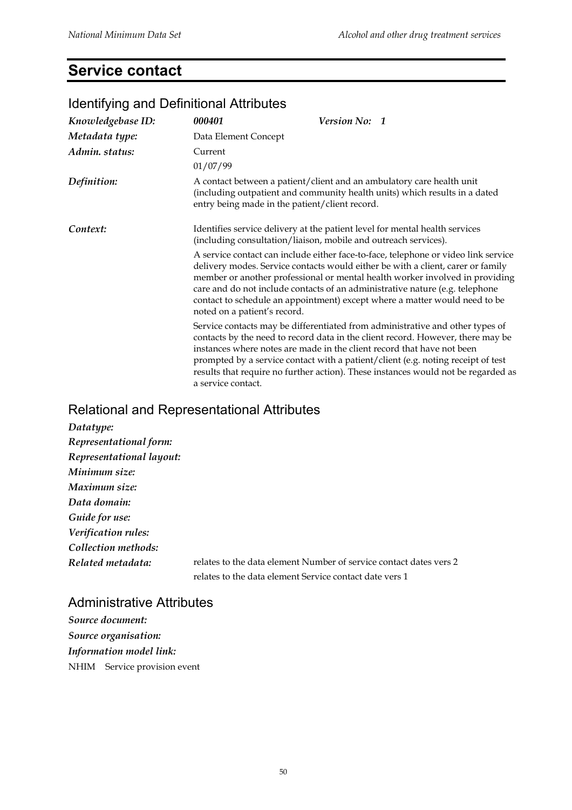## **Service contact**

| Knowledgebase ID: | 000401                                         | Version No: 1                                                                                                                                                                                                                                                                                                                                                                                                       |
|-------------------|------------------------------------------------|---------------------------------------------------------------------------------------------------------------------------------------------------------------------------------------------------------------------------------------------------------------------------------------------------------------------------------------------------------------------------------------------------------------------|
| Metadata type:    | Data Element Concept                           |                                                                                                                                                                                                                                                                                                                                                                                                                     |
| Admin. status:    | Current<br>01/07/99                            |                                                                                                                                                                                                                                                                                                                                                                                                                     |
| Definition:       | entry being made in the patient/client record. | A contact between a patient/client and an ambulatory care health unit<br>(including outpatient and community health units) which results in a dated                                                                                                                                                                                                                                                                 |
| Context:          |                                                | Identifies service delivery at the patient level for mental health services<br>(including consultation/liaison, mobile and outreach services).                                                                                                                                                                                                                                                                      |
|                   | noted on a patient's record.                   | A service contact can include either face-to-face, telephone or video link service<br>delivery modes. Service contacts would either be with a client, carer or family<br>member or another professional or mental health worker involved in providing<br>care and do not include contacts of an administrative nature (e.g. telephone<br>contact to schedule an appointment) except where a matter would need to be |
|                   | a service contact.                             | Service contacts may be differentiated from administrative and other types of<br>contacts by the need to record data in the client record. However, there may be<br>instances where notes are made in the client record that have not been<br>prompted by a service contact with a patient/client (e.g. noting receipt of test<br>results that require no further action). These instances would not be regarded as |

#### Identifying and Definitional Attributes

#### Relational and Representational Attributes

| Datatype:                |                                                                    |
|--------------------------|--------------------------------------------------------------------|
| Representational form:   |                                                                    |
| Representational layout: |                                                                    |
| Minimum size:            |                                                                    |
| Maximum size:            |                                                                    |
| Data domain:             |                                                                    |
| Guide for use:           |                                                                    |
| Verification rules:      |                                                                    |
| Collection methods:      |                                                                    |
| Related metadata:        | relates to the data element Number of service contact dates vers 2 |
|                          | relates to the data element Service contact date vers 1            |

Administrative Attributes

```
Source document:
Source organisation:
Information model link:
NHIM Service provision event
```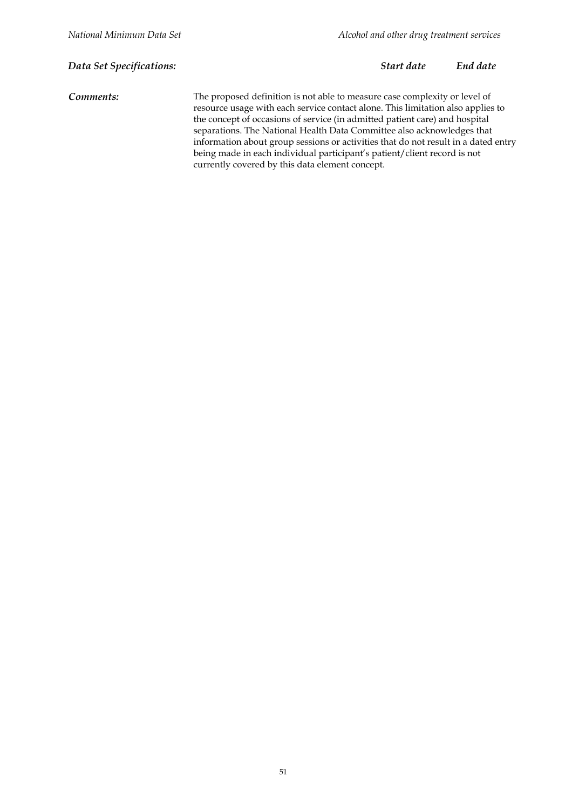*Data Set Specifications: Start date End date*

*Comments:* The proposed definition is not able to measure case complexity or level of resource usage with each service contact alone. This limitation also applies to the concept of occasions of service (in admitted patient care) and hospital separations. The National Health Data Committee also acknowledges that information about group sessions or activities that do not result in a dated entry being made in each individual participant's patient/client record is not currently covered by this data element concept.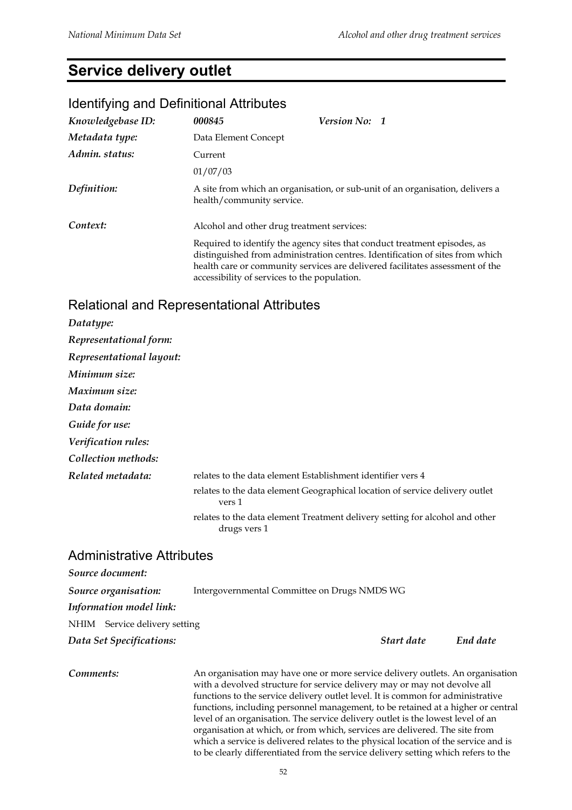## **Service delivery outlet**

#### Identifying and Definitional Attributes

| Knowledgebase ID: | 000845                                       | <b>Version No: 1</b>                                                                                                                                                                                                                        |  |
|-------------------|----------------------------------------------|---------------------------------------------------------------------------------------------------------------------------------------------------------------------------------------------------------------------------------------------|--|
| Metadata type:    | Data Element Concept                         |                                                                                                                                                                                                                                             |  |
| Admin. status:    | Current                                      |                                                                                                                                                                                                                                             |  |
|                   | 01/07/03                                     |                                                                                                                                                                                                                                             |  |
| Definition:       |                                              | A site from which an organisation, or sub-unit of an organisation, delivers a<br>health/community service.                                                                                                                                  |  |
| Context:          |                                              | Alcohol and other drug treatment services:                                                                                                                                                                                                  |  |
|                   | accessibility of services to the population. | Required to identify the agency sites that conduct treatment episodes, as<br>distinguished from administration centres. Identification of sites from which<br>health care or community services are delivered facilitates assessment of the |  |

#### Relational and Representational Attributes

| Datatype:                |                                                                                              |
|--------------------------|----------------------------------------------------------------------------------------------|
| Representational form:   |                                                                                              |
| Representational layout: |                                                                                              |
| Minimum size:            |                                                                                              |
| Maximum size:            |                                                                                              |
| Data domain:             |                                                                                              |
| Guide for use:           |                                                                                              |
| Verification rules:      |                                                                                              |
| Collection methods:      |                                                                                              |
| Related metadata:        | relates to the data element Establishment identifier vers 4                                  |
|                          | relates to the data element Geographical location of service delivery outlet<br>vers 1       |
|                          | relates to the data element Treatment delivery setting for alcohol and other<br>drugs vers 1 |
|                          |                                                                                              |

#### Administrative Attributes

| Source document:              |                                              |          |
|-------------------------------|----------------------------------------------|----------|
| Source organisation:          | Intergovernmental Committee on Drugs NMDS WG |          |
| Information model link:       |                                              |          |
| NHIM Service delivery setting |                                              |          |
| Data Set Specifications:      | Start date                                   | End date |
|                               |                                              |          |

*Comments:* An organisation may have one or more service delivery outlets. An organisation with a devolved structure for service delivery may or may not devolve all functions to the service delivery outlet level. It is common for administrative functions, including personnel management, to be retained at a higher or central level of an organisation. The service delivery outlet is the lowest level of an organisation at which, or from which, services are delivered. The site from which a service is delivered relates to the physical location of the service and is to be clearly differentiated from the service delivery setting which refers to the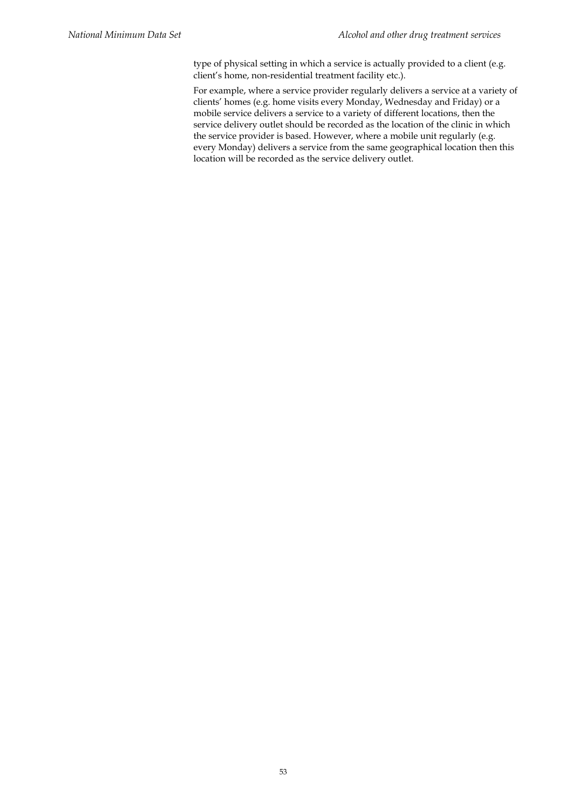type of physical setting in which a service is actually provided to a client (e.g. client's home, non-residential treatment facility etc.).

For example, where a service provider regularly delivers a service at a variety of clients' homes (e.g. home visits every Monday, Wednesday and Friday) or a mobile service delivers a service to a variety of different locations, then the service delivery outlet should be recorded as the location of the clinic in which the service provider is based. However, where a mobile unit regularly (e.g. every Monday) delivers a service from the same geographical location then this location will be recorded as the service delivery outlet.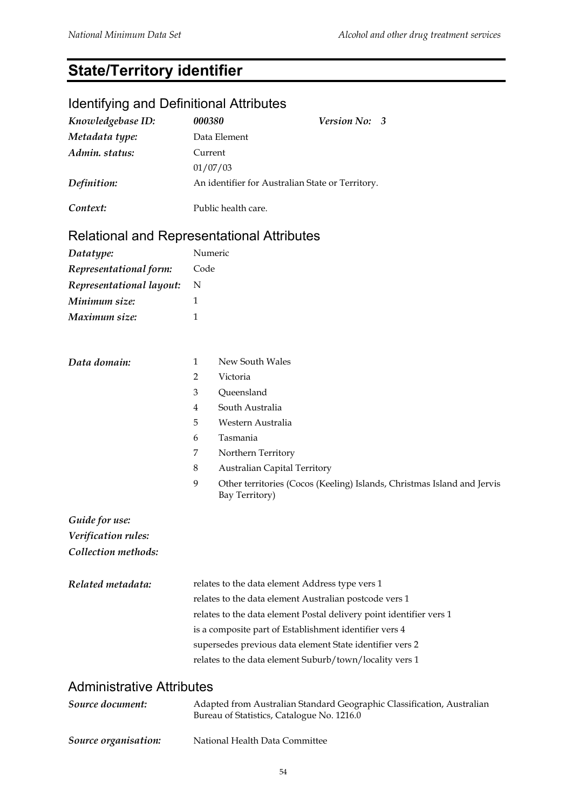## **State/Territory identifier**

## Identifying and Definitional Attributes

| Knowledgebase ID:                                 | 000380                                                                                                               | Version No: 3                                                                             |  |  |  |
|---------------------------------------------------|----------------------------------------------------------------------------------------------------------------------|-------------------------------------------------------------------------------------------|--|--|--|
| Metadata type:                                    | Data Element                                                                                                         |                                                                                           |  |  |  |
| Admin. status:                                    | Current                                                                                                              |                                                                                           |  |  |  |
|                                                   | 01/07/03                                                                                                             |                                                                                           |  |  |  |
| Definition:                                       | An identifier for Australian State or Territory.                                                                     |                                                                                           |  |  |  |
| Context:                                          | Public health care.                                                                                                  |                                                                                           |  |  |  |
| <b>Relational and Representational Attributes</b> |                                                                                                                      |                                                                                           |  |  |  |
| Datatype:                                         | Numeric                                                                                                              |                                                                                           |  |  |  |
| Representational form:                            | Code                                                                                                                 |                                                                                           |  |  |  |
| Representational layout:                          | N                                                                                                                    |                                                                                           |  |  |  |
| Minimum size:                                     | 1                                                                                                                    |                                                                                           |  |  |  |
| Maximum size:                                     | 1                                                                                                                    |                                                                                           |  |  |  |
|                                                   |                                                                                                                      |                                                                                           |  |  |  |
| Data domain:                                      | 1                                                                                                                    | New South Wales                                                                           |  |  |  |
|                                                   | $\overline{2}$                                                                                                       | Victoria                                                                                  |  |  |  |
|                                                   | 3                                                                                                                    | Queensland<br>South Australia                                                             |  |  |  |
|                                                   | 4<br>5                                                                                                               | Western Australia                                                                         |  |  |  |
|                                                   | 6                                                                                                                    | Tasmania                                                                                  |  |  |  |
|                                                   | 7                                                                                                                    | Northern Territory                                                                        |  |  |  |
|                                                   | $\,8\,$                                                                                                              | <b>Australian Capital Territory</b>                                                       |  |  |  |
|                                                   | 9                                                                                                                    | Other territories (Cocos (Keeling) Islands, Christmas Island and Jervis<br>Bay Territory) |  |  |  |
| Guide for use:                                    |                                                                                                                      |                                                                                           |  |  |  |
| Verification rules:                               |                                                                                                                      |                                                                                           |  |  |  |
| Collection methods:                               |                                                                                                                      |                                                                                           |  |  |  |
| Related metadata:                                 | relates to the data element Address type vers 1                                                                      |                                                                                           |  |  |  |
|                                                   | relates to the data element Australian postcode vers 1                                                               |                                                                                           |  |  |  |
|                                                   | relates to the data element Postal delivery point identifier vers 1                                                  |                                                                                           |  |  |  |
|                                                   | is a composite part of Establishment identifier vers 4                                                               |                                                                                           |  |  |  |
|                                                   | supersedes previous data element State identifier vers 2                                                             |                                                                                           |  |  |  |
|                                                   |                                                                                                                      | relates to the data element Suburb/town/locality vers 1                                   |  |  |  |
| <b>Administrative Attributes</b>                  |                                                                                                                      |                                                                                           |  |  |  |
| Source document:                                  | Adapted from Australian Standard Geographic Classification, Australian<br>Bureau of Statistics, Catalogue No. 1216.0 |                                                                                           |  |  |  |

*Source organisation:* National Health Data Committee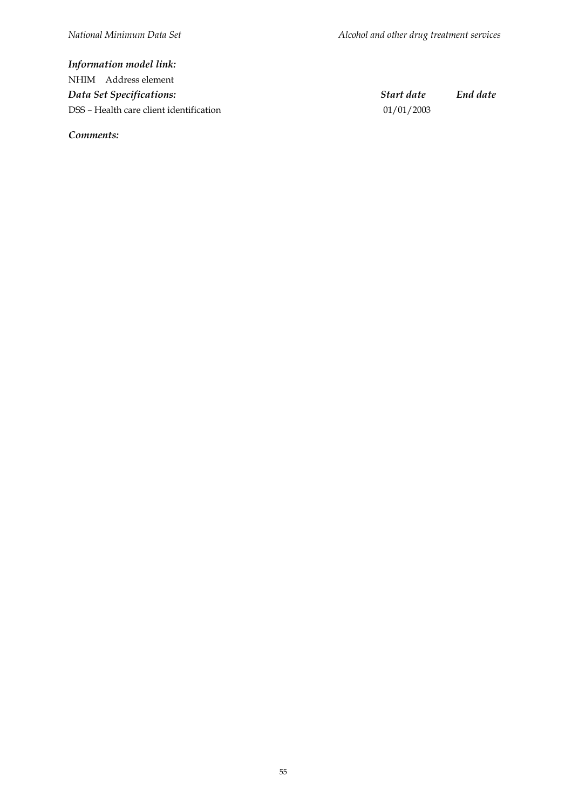*Information model link:* NHIM Address element *Data Set Specifications: Start date End date* DSS – Health care client identification 01/01/2003

*Comments:*

55